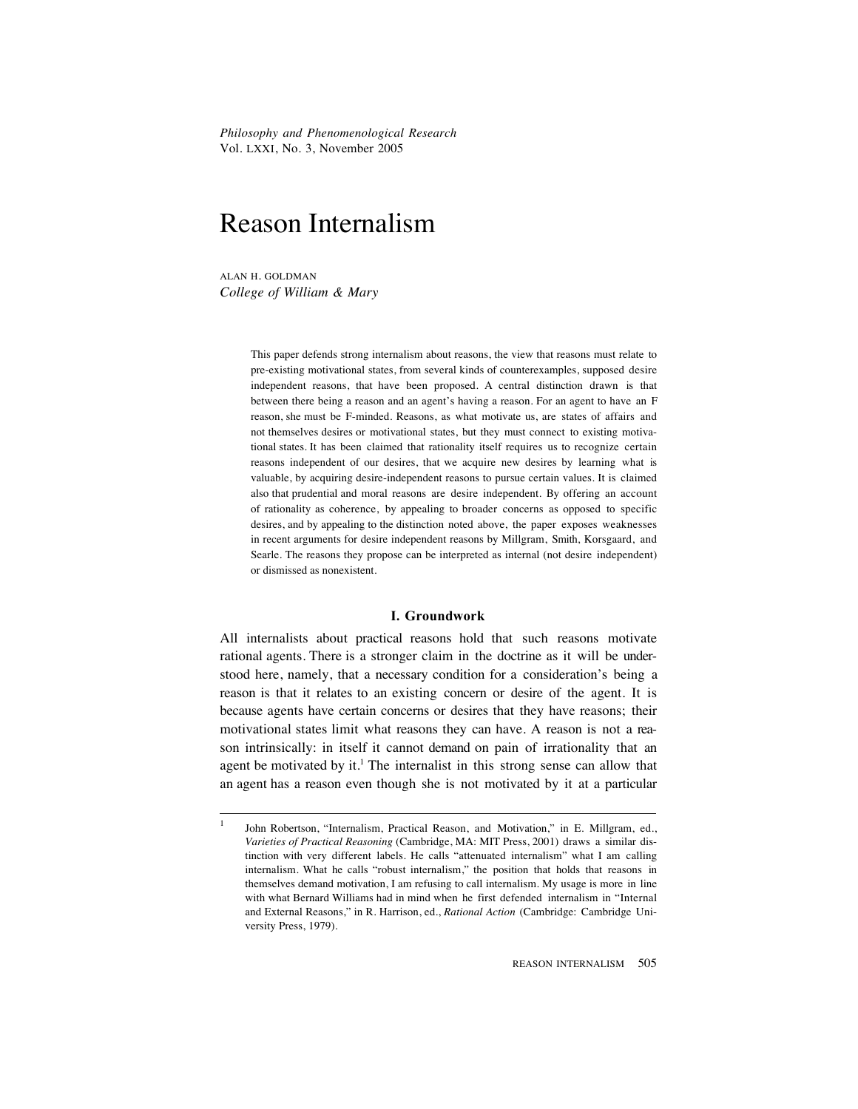# Reason Internalism

ALAN H. GOLDMAN *College of William & Mary*

 $\overline{a}$ 

This paper defends strong internalism about reasons, the view that reasons must relate to pre-existing motivational states, from several kinds of counterexamples, supposed desire independent reasons, that have been proposed. A central distinction drawn is that between there being a reason and an agent's having a reason. For an agent to have an F reason, she must be F-minded. Reasons, as what motivate us, are states of affairs and not themselves desires or motivational states, but they must connect to existing motivational states. It has been claimed that rationality itself requires us to recognize certain reasons independent of our desires, that we acquire new desires by learning what is valuable, by acquiring desire-independent reasons to pursue certain values. It is claimed also that prudential and moral reasons are desire independent. By offering an account of rationality as coherence, by appealing to broader concerns as opposed to specific desires, and by appealing to the distinction noted above, the paper exposes weaknesses in recent arguments for desire independent reasons by Millgram, Smith, Korsgaard, and Searle. The reasons they propose can be interpreted as internal (not desire independent) or dismissed as nonexistent.

#### **I. Groundwork**

All internalists about practical reasons hold that such reasons motivate rational agents. There is a stronger claim in the doctrine as it will be understood here, namely, that a necessary condition for a consideration's being a reason is that it relates to an existing concern or desire of the agent. It is because agents have certain concerns or desires that they have reasons; their motivational states limit what reasons they can have. A reason is not a reason intrinsically: in itself it cannot demand on pain of irrationality that an agent be motivated by it.<sup>1</sup> The internalist in this strong sense can allow that an agent has a reason even though she is not motivated by it at a particular

<sup>1</sup> John Robertson, "Internalism, Practical Reason, and Motivation," in E. Millgram, ed., *Varieties of Practical Reasoning* (Cambridge, MA: MIT Press, 2001) draws a similar distinction with very different labels. He calls "attenuated internalism" what I am calling internalism. What he calls "robust internalism," the position that holds that reasons in themselves demand motivation, I am refusing to call internalism. My usage is more in line with what Bernard Williams had in mind when he first defended internalism in "Internal and External Reasons," in R. Harrison, ed., *Rational Action* (Cambridge: Cambridge University Press, 1979).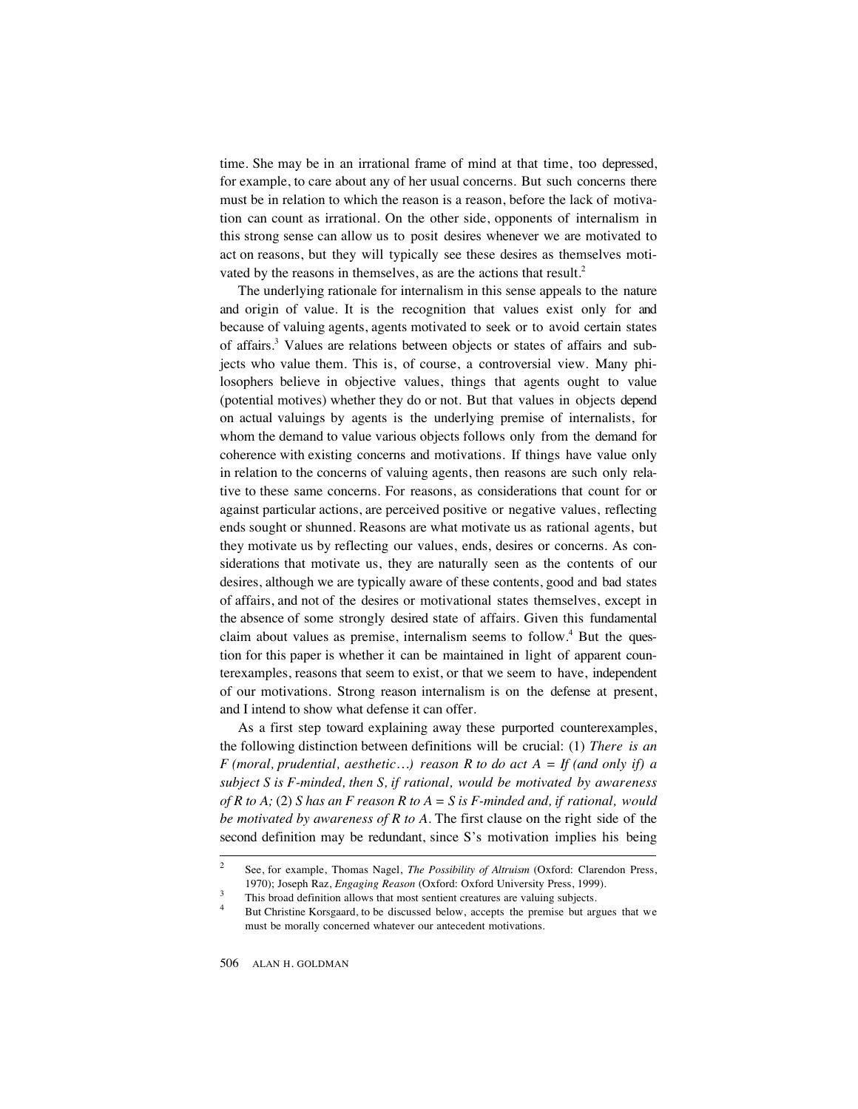time. She may be in an irrational frame of mind at that time, too depressed, for example, to care about any of her usual concerns. But such concerns there must be in relation to which the reason is a reason, before the lack of motivation can count as irrational. On the other side, opponents of internalism in this strong sense can allow us to posit desires whenever we are motivated to act on reasons, but they will typically see these desires as themselves motivated by the reasons in themselves, as are the actions that result.<sup>2</sup>

The underlying rationale for internalism in this sense appeals to the nature and origin of value. It is the recognition that values exist only for and because of valuing agents, agents motivated to seek or to avoid certain states of affairs.3 Values are relations between objects or states of affairs and subjects who value them. This is, of course, a controversial view. Many philosophers believe in objective values, things that agents ought to value (potential motives) whether they do or not. But that values in objects depend on actual valuings by agents is the underlying premise of internalists, for whom the demand to value various objects follows only from the demand for coherence with existing concerns and motivations. If things have value only in relation to the concerns of valuing agents, then reasons are such only relative to these same concerns. For reasons, as considerations that count for or against particular actions, are perceived positive or negative values, reflecting ends sought or shunned. Reasons are what motivate us as rational agents, but they motivate us by reflecting our values, ends, desires or concerns. As considerations that motivate us, they are naturally seen as the contents of our desires, although we are typically aware of these contents, good and bad states of affairs, and not of the desires or motivational states themselves, except in the absence of some strongly desired state of affairs. Given this fundamental claim about values as premise, internalism seems to follow.<sup>4</sup> But the question for this paper is whether it can be maintained in light of apparent counterexamples, reasons that seem to exist, or that we seem to have, independent of our motivations. Strong reason internalism is on the defense at present, and I intend to show what defense it can offer.

As a first step toward explaining away these purported counterexamples, the following distinction between definitions will be crucial: (1) *There is an F (moral, prudential, aesthetic…) reason R to do act A = If (and only if) a subject S is F-minded, then S, if rational, would be motivated by awareness of R to A;* (2) *S has an F reason R to A = S is F-minded and, if rational, would be motivated by awareness of R to A.* The first clause on the right side of the second definition may be redundant, since S's motivation implies his being

 $\sqrt{2}$ <sup>2</sup> See, for example, Thomas Nagel, *The Possibility of Altruism* (Oxford: Clarendon Press,

<sup>1970);</sup> Joseph Raz, *Engaging Reason* (Oxford: Oxford University Press, 1999).<br><sup>3</sup> This broad definition allows that most sentient creatures are valuing subjects.<br><sup>4</sup> But Christine Korsgaard, to be discussed below, accepts must be morally concerned whatever our antecedent motivations.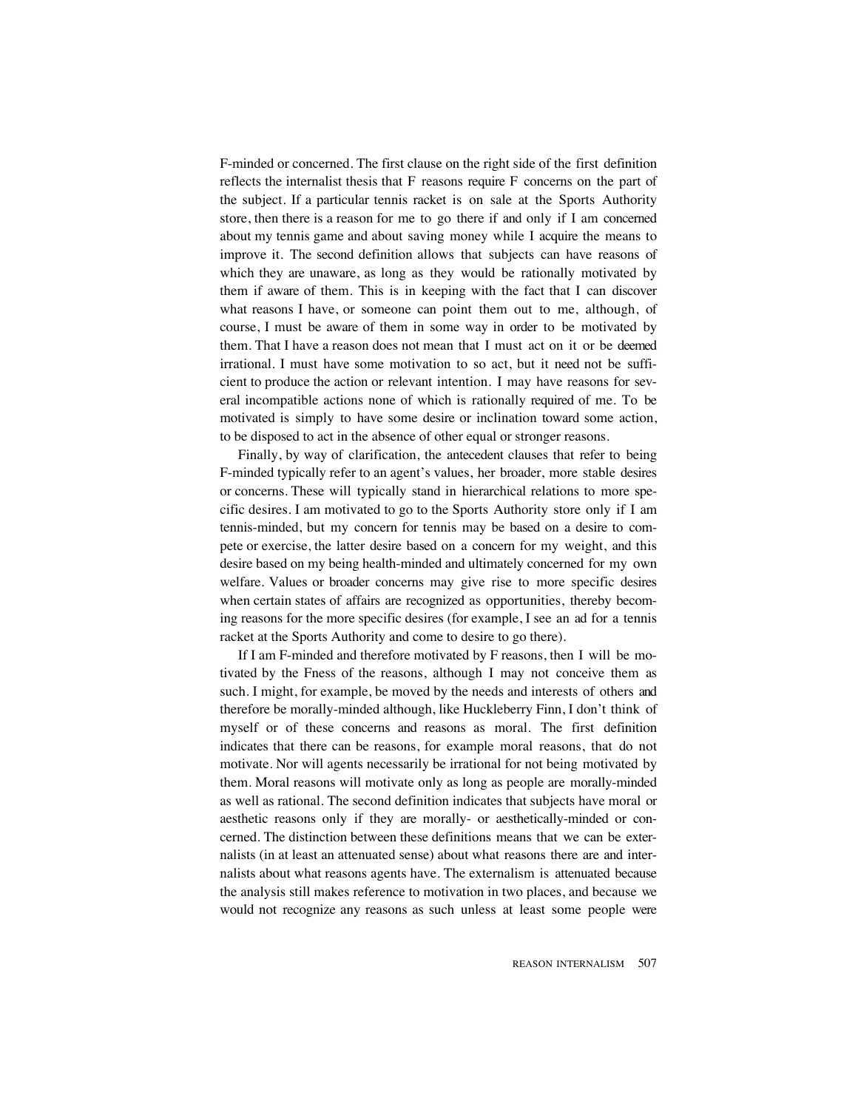F-minded or concerned. The first clause on the right side of the first definition reflects the internalist thesis that F reasons require F concerns on the part of the subject. If a particular tennis racket is on sale at the Sports Authority store, then there is a reason for me to go there if and only if I am concerned about my tennis game and about saving money while I acquire the means to improve it. The second definition allows that subjects can have reasons of which they are unaware, as long as they would be rationally motivated by them if aware of them. This is in keeping with the fact that I can discover what reasons I have, or someone can point them out to me, although, of course, I must be aware of them in some way in order to be motivated by them. That I have a reason does not mean that I must act on it or be deemed irrational. I must have some motivation to so act, but it need not be sufficient to produce the action or relevant intention. I may have reasons for several incompatible actions none of which is rationally required of me. To be motivated is simply to have some desire or inclination toward some action, to be disposed to act in the absence of other equal or stronger reasons.

Finally, by way of clarification, the antecedent clauses that refer to being F-minded typically refer to an agent's values, her broader, more stable desires or concerns. These will typically stand in hierarchical relations to more specific desires. I am motivated to go to the Sports Authority store only if I am tennis-minded, but my concern for tennis may be based on a desire to compete or exercise, the latter desire based on a concern for my weight, and this desire based on my being health-minded and ultimately concerned for my own welfare. Values or broader concerns may give rise to more specific desires when certain states of affairs are recognized as opportunities, thereby becoming reasons for the more specific desires (for example, I see an ad for a tennis racket at the Sports Authority and come to desire to go there).

If I am F-minded and therefore motivated by F reasons, then I will be motivated by the Fness of the reasons, although I may not conceive them as such. I might, for example, be moved by the needs and interests of others and therefore be morally-minded although, like Huckleberry Finn, I don't think of myself or of these concerns and reasons as moral. The first definition indicates that there can be reasons, for example moral reasons, that do not motivate. Nor will agents necessarily be irrational for not being motivated by them. Moral reasons will motivate only as long as people are morally-minded as well as rational. The second definition indicates that subjects have moral or aesthetic reasons only if they are morally- or aesthetically-minded or concerned. The distinction between these definitions means that we can be externalists (in at least an attenuated sense) about what reasons there are and internalists about what reasons agents have. The externalism is attenuated because the analysis still makes reference to motivation in two places, and because we would not recognize any reasons as such unless at least some people were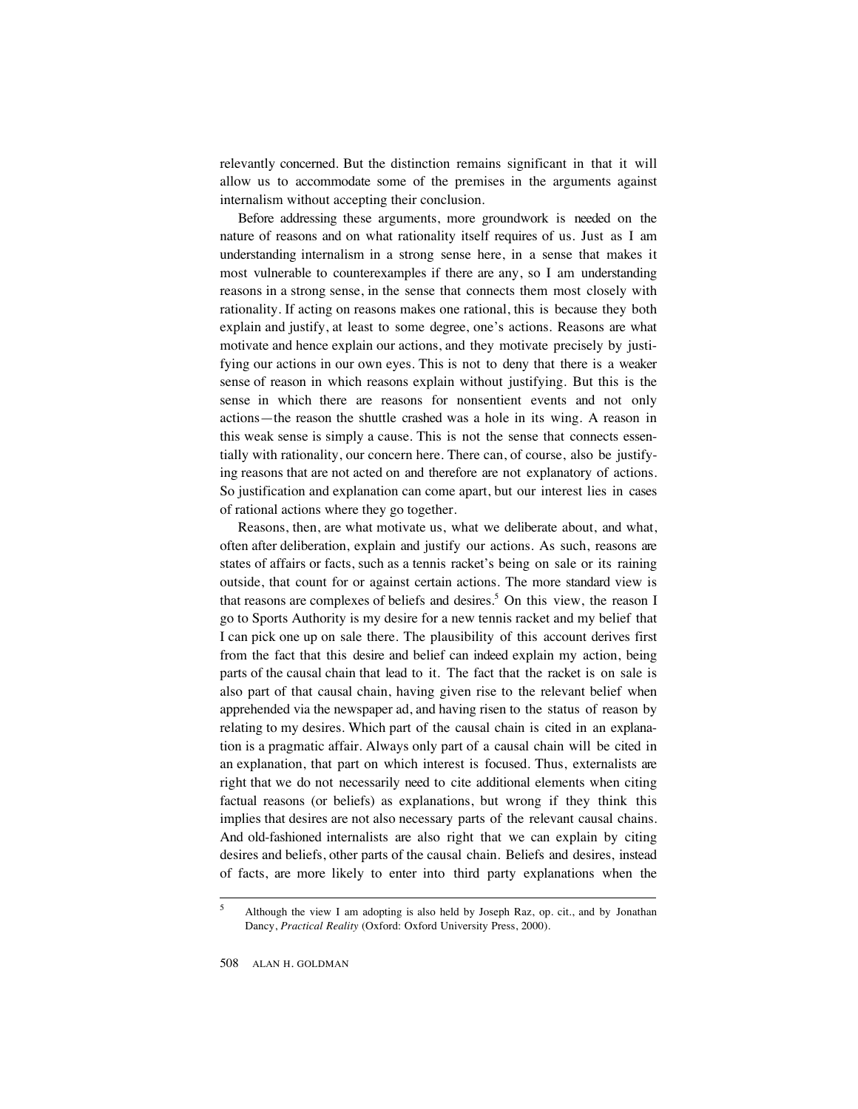relevantly concerned. But the distinction remains significant in that it will allow us to accommodate some of the premises in the arguments against internalism without accepting their conclusion.

Before addressing these arguments, more groundwork is needed on the nature of reasons and on what rationality itself requires of us. Just as I am understanding internalism in a strong sense here, in a sense that makes it most vulnerable to counterexamples if there are any, so I am understanding reasons in a strong sense, in the sense that connects them most closely with rationality. If acting on reasons makes one rational, this is because they both explain and justify, at least to some degree, one's actions. Reasons are what motivate and hence explain our actions, and they motivate precisely by justifying our actions in our own eyes. This is not to deny that there is a weaker sense of reason in which reasons explain without justifying. But this is the sense in which there are reasons for nonsentient events and not only actions—the reason the shuttle crashed was a hole in its wing. A reason in this weak sense is simply a cause. This is not the sense that connects essentially with rationality, our concern here. There can, of course, also be justifying reasons that are not acted on and therefore are not explanatory of actions. So justification and explanation can come apart, but our interest lies in cases of rational actions where they go together.

Reasons, then, are what motivate us, what we deliberate about, and what, often after deliberation, explain and justify our actions. As such, reasons are states of affairs or facts, such as a tennis racket's being on sale or its raining outside, that count for or against certain actions. The more standard view is that reasons are complexes of beliefs and desires.<sup>5</sup> On this view, the reason I go to Sports Authority is my desire for a new tennis racket and my belief that I can pick one up on sale there. The plausibility of this account derives first from the fact that this desire and belief can indeed explain my action, being parts of the causal chain that lead to it. The fact that the racket is on sale is also part of that causal chain, having given rise to the relevant belief when apprehended via the newspaper ad, and having risen to the status of reason by relating to my desires. Which part of the causal chain is cited in an explanation is a pragmatic affair. Always only part of a causal chain will be cited in an explanation, that part on which interest is focused. Thus, externalists are right that we do not necessarily need to cite additional elements when citing factual reasons (or beliefs) as explanations, but wrong if they think this implies that desires are not also necessary parts of the relevant causal chains. And old-fashioned internalists are also right that we can explain by citing desires and beliefs, other parts of the causal chain. Beliefs and desires, instead of facts, are more likely to enter into third party explanations when the

 $\mathfrak{s}$ <sup>5</sup> Although the view I am adopting is also held by Joseph Raz, op. cit., and by Jonathan Dancy, *Practical Reality* (Oxford: Oxford University Press, 2000).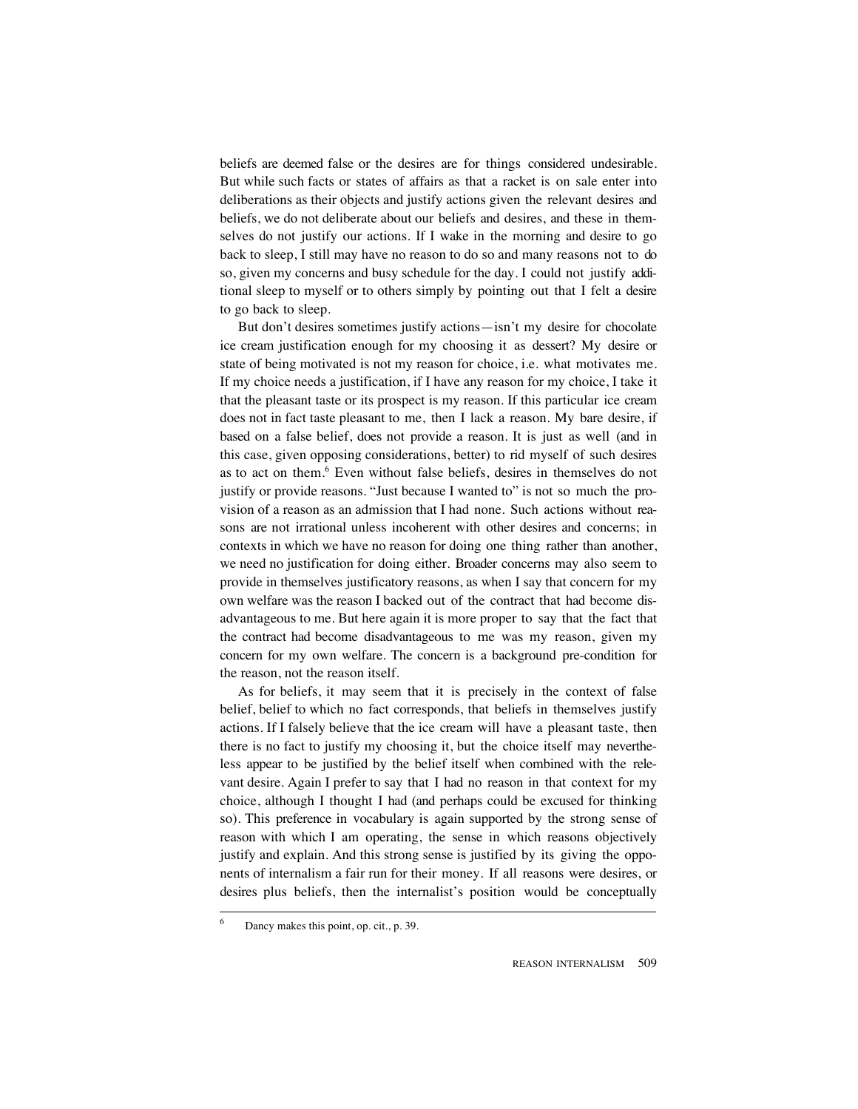beliefs are deemed false or the desires are for things considered undesirable. But while such facts or states of affairs as that a racket is on sale enter into deliberations as their objects and justify actions given the relevant desires and beliefs, we do not deliberate about our beliefs and desires, and these in themselves do not justify our actions. If I wake in the morning and desire to go back to sleep, I still may have no reason to do so and many reasons not to do so, given my concerns and busy schedule for the day. I could not justify additional sleep to myself or to others simply by pointing out that I felt a desire to go back to sleep.

But don't desires sometimes justify actions—isn't my desire for chocolate ice cream justification enough for my choosing it as dessert? My desire or state of being motivated is not my reason for choice, i.e. what motivates me. If my choice needs a justification, if I have any reason for my choice, I take it that the pleasant taste or its prospect is my reason. If this particular ice cream does not in fact taste pleasant to me, then I lack a reason. My bare desire, if based on a false belief, does not provide a reason. It is just as well (and in this case, given opposing considerations, better) to rid myself of such desires as to act on them.6 Even without false beliefs, desires in themselves do not justify or provide reasons. "Just because I wanted to" is not so much the provision of a reason as an admission that I had none. Such actions without reasons are not irrational unless incoherent with other desires and concerns; in contexts in which we have no reason for doing one thing rather than another, we need no justification for doing either. Broader concerns may also seem to provide in themselves justificatory reasons, as when I say that concern for my own welfare was the reason I backed out of the contract that had become disadvantageous to me. But here again it is more proper to say that the fact that the contract had become disadvantageous to me was my reason, given my concern for my own welfare. The concern is a background pre-condition for the reason, not the reason itself.

As for beliefs, it may seem that it is precisely in the context of false belief, belief to which no fact corresponds, that beliefs in themselves justify actions. If I falsely believe that the ice cream will have a pleasant taste, then there is no fact to justify my choosing it, but the choice itself may nevertheless appear to be justified by the belief itself when combined with the relevant desire. Again I prefer to say that I had no reason in that context for my choice, although I thought I had (and perhaps could be excused for thinking so). This preference in vocabulary is again supported by the strong sense of reason with which I am operating, the sense in which reasons objectively justify and explain. And this strong sense is justified by its giving the opponents of internalism a fair run for their money. If all reasons were desires, or desires plus beliefs, then the internalist's position would be conceptually

<sup>6</sup> Dancy makes this point, op. cit., p. 39.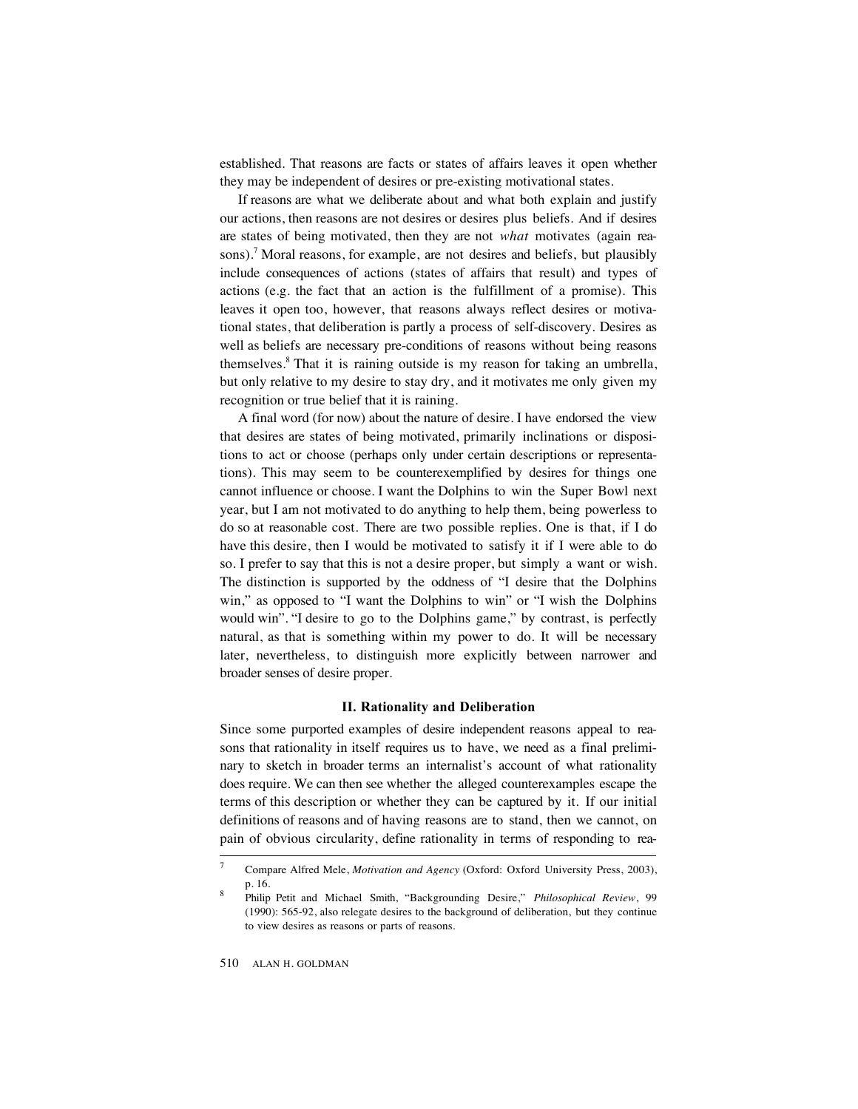established. That reasons are facts or states of affairs leaves it open whether they may be independent of desires or pre-existing motivational states.

If reasons are what we deliberate about and what both explain and justify our actions, then reasons are not desires or desires plus beliefs. And if desires are states of being motivated, then they are not *what* motivates (again reasons).<sup>7</sup> Moral reasons, for example, are not desires and beliefs, but plausibly include consequences of actions (states of affairs that result) and types of actions (e.g. the fact that an action is the fulfillment of a promise). This leaves it open too, however, that reasons always reflect desires or motivational states, that deliberation is partly a process of self-discovery. Desires as well as beliefs are necessary pre-conditions of reasons without being reasons themselves.8 That it is raining outside is my reason for taking an umbrella, but only relative to my desire to stay dry, and it motivates me only given my recognition or true belief that it is raining.

A final word (for now) about the nature of desire. I have endorsed the view that desires are states of being motivated, primarily inclinations or dispositions to act or choose (perhaps only under certain descriptions or representations). This may seem to be counterexemplified by desires for things one cannot influence or choose. I want the Dolphins to win the Super Bowl next year, but I am not motivated to do anything to help them, being powerless to do so at reasonable cost. There are two possible replies. One is that, if I do have this desire, then I would be motivated to satisfy it if I were able to do so. I prefer to say that this is not a desire proper, but simply a want or wish. The distinction is supported by the oddness of "I desire that the Dolphins win," as opposed to "I want the Dolphins to win" or "I wish the Dolphins would win". "I desire to go to the Dolphins game," by contrast, is perfectly natural, as that is something within my power to do. It will be necessary later, nevertheless, to distinguish more explicitly between narrower and broader senses of desire proper.

#### **II. Rationality and Deliberation**

Since some purported examples of desire independent reasons appeal to reasons that rationality in itself requires us to have, we need as a final preliminary to sketch in broader terms an internalist's account of what rationality does require. We can then see whether the alleged counterexamples escape the terms of this description or whether they can be captured by it. If our initial definitions of reasons and of having reasons are to stand, then we cannot, on pain of obvious circularity, define rationality in terms of responding to rea-

 $\overline{a}$ 

<sup>7</sup> Compare Alfred Mele, *Motivation and Agency* (Oxford: Oxford University Press, 2003), p. 16. <sup>8</sup> Philip Petit and Michael Smith, "Backgrounding Desire," *Philosophical Review*, 99

<sup>(1990): 565-92,</sup> also relegate desires to the background of deliberation, but they continue to view desires as reasons or parts of reasons.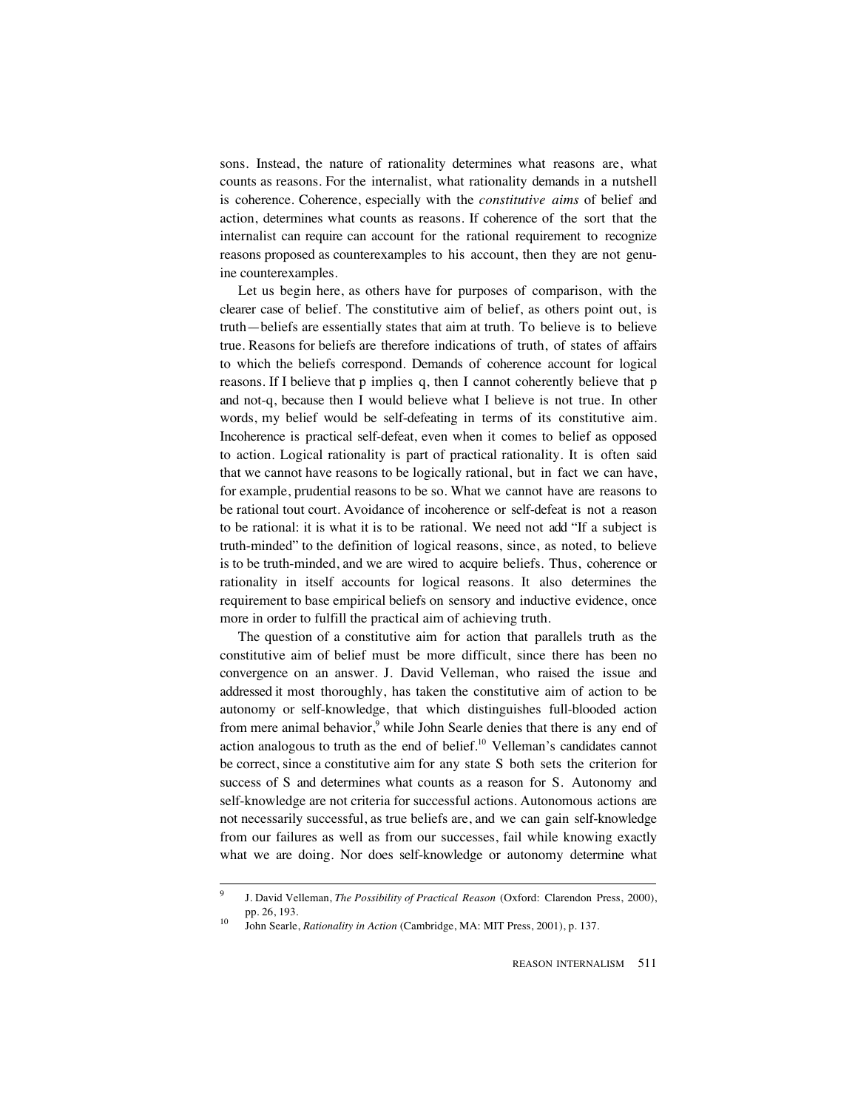sons. Instead, the nature of rationality determines what reasons are, what counts as reasons. For the internalist, what rationality demands in a nutshell is coherence. Coherence, especially with the *constitutive aims* of belief and action, determines what counts as reasons. If coherence of the sort that the internalist can require can account for the rational requirement to recognize reasons proposed as counterexamples to his account, then they are not genuine counterexamples.

Let us begin here, as others have for purposes of comparison, with the clearer case of belief. The constitutive aim of belief, as others point out, is truth—beliefs are essentially states that aim at truth. To believe is to believe true. Reasons for beliefs are therefore indications of truth, of states of affairs to which the beliefs correspond. Demands of coherence account for logical reasons. If I believe that p implies q, then I cannot coherently believe that p and not-q, because then I would believe what I believe is not true. In other words, my belief would be self-defeating in terms of its constitutive aim. Incoherence is practical self-defeat, even when it comes to belief as opposed to action. Logical rationality is part of practical rationality. It is often said that we cannot have reasons to be logically rational, but in fact we can have, for example, prudential reasons to be so. What we cannot have are reasons to be rational tout court. Avoidance of incoherence or self-defeat is not a reason to be rational: it is what it is to be rational. We need not add "If a subject is truth-minded" to the definition of logical reasons, since, as noted, to believe is to be truth-minded, and we are wired to acquire beliefs. Thus, coherence or rationality in itself accounts for logical reasons. It also determines the requirement to base empirical beliefs on sensory and inductive evidence, once more in order to fulfill the practical aim of achieving truth.

The question of a constitutive aim for action that parallels truth as the constitutive aim of belief must be more difficult, since there has been no convergence on an answer. J. David Velleman, who raised the issue and addressed it most thoroughly, has taken the constitutive aim of action to be autonomy or self-knowledge, that which distinguishes full-blooded action from mere animal behavior,<sup>9</sup> while John Searle denies that there is any end of action analogous to truth as the end of belief.<sup>10</sup> Velleman's candidates cannot be correct, since a constitutive aim for any state S both sets the criterion for success of S and determines what counts as a reason for S. Autonomy and self-knowledge are not criteria for successful actions. Autonomous actions are not necessarily successful, as true beliefs are, and we can gain self-knowledge from our failures as well as from our successes, fail while knowing exactly what we are doing. Nor does self-knowledge or autonomy determine what

 $\bf{Q}$ <sup>9</sup> J. David Velleman, *The Possibility of Practical Reason* (Oxford: Clarendon Press, 2000), pp. 26, 193. <sup>10</sup> John Searle, *Rationality in Action* (Cambridge, MA: MIT Press, 2001), p. 137.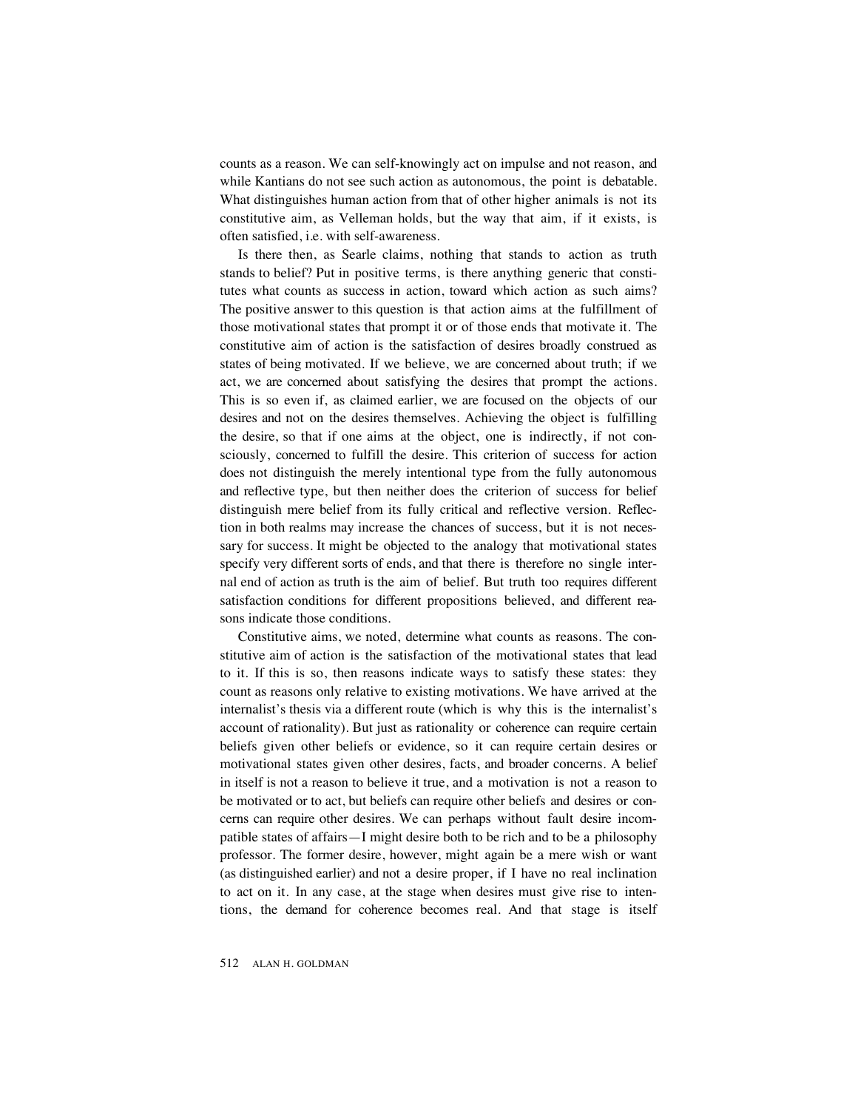counts as a reason. We can self-knowingly act on impulse and not reason, and while Kantians do not see such action as autonomous, the point is debatable. What distinguishes human action from that of other higher animals is not its constitutive aim, as Velleman holds, but the way that aim, if it exists, is often satisfied, i.e. with self-awareness.

Is there then, as Searle claims, nothing that stands to action as truth stands to belief? Put in positive terms, is there anything generic that constitutes what counts as success in action, toward which action as such aims? The positive answer to this question is that action aims at the fulfillment of those motivational states that prompt it or of those ends that motivate it. The constitutive aim of action is the satisfaction of desires broadly construed as states of being motivated. If we believe, we are concerned about truth; if we act, we are concerned about satisfying the desires that prompt the actions. This is so even if, as claimed earlier, we are focused on the objects of our desires and not on the desires themselves. Achieving the object is fulfilling the desire, so that if one aims at the object, one is indirectly, if not consciously, concerned to fulfill the desire. This criterion of success for action does not distinguish the merely intentional type from the fully autonomous and reflective type, but then neither does the criterion of success for belief distinguish mere belief from its fully critical and reflective version. Reflection in both realms may increase the chances of success, but it is not necessary for success. It might be objected to the analogy that motivational states specify very different sorts of ends, and that there is therefore no single internal end of action as truth is the aim of belief. But truth too requires different satisfaction conditions for different propositions believed, and different reasons indicate those conditions.

Constitutive aims, we noted, determine what counts as reasons. The constitutive aim of action is the satisfaction of the motivational states that lead to it. If this is so, then reasons indicate ways to satisfy these states: they count as reasons only relative to existing motivations. We have arrived at the internalist's thesis via a different route (which is why this is the internalist's account of rationality). But just as rationality or coherence can require certain beliefs given other beliefs or evidence, so it can require certain desires or motivational states given other desires, facts, and broader concerns. A belief in itself is not a reason to believe it true, and a motivation is not a reason to be motivated or to act, but beliefs can require other beliefs and desires or concerns can require other desires. We can perhaps without fault desire incompatible states of affairs—I might desire both to be rich and to be a philosophy professor. The former desire, however, might again be a mere wish or want (as distinguished earlier) and not a desire proper, if I have no real inclination to act on it. In any case, at the stage when desires must give rise to intentions, the demand for coherence becomes real. And that stage is itself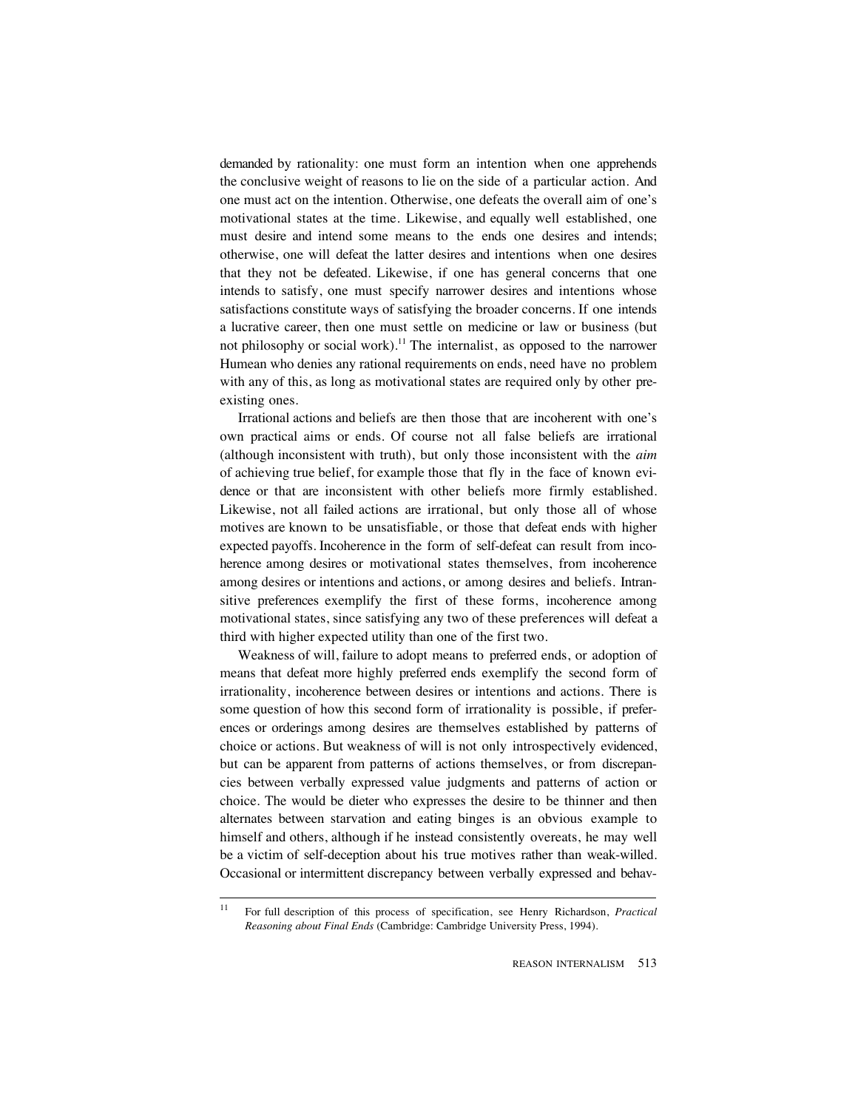demanded by rationality: one must form an intention when one apprehends the conclusive weight of reasons to lie on the side of a particular action. And one must act on the intention. Otherwise, one defeats the overall aim of one's motivational states at the time. Likewise, and equally well established, one must desire and intend some means to the ends one desires and intends; otherwise, one will defeat the latter desires and intentions when one desires that they not be defeated. Likewise, if one has general concerns that one intends to satisfy, one must specify narrower desires and intentions whose satisfactions constitute ways of satisfying the broader concerns. If one intends a lucrative career, then one must settle on medicine or law or business (but not philosophy or social work).<sup>11</sup> The internalist, as opposed to the narrower Humean who denies any rational requirements on ends, need have no problem with any of this, as long as motivational states are required only by other preexisting ones.

Irrational actions and beliefs are then those that are incoherent with one's own practical aims or ends. Of course not all false beliefs are irrational (although inconsistent with truth), but only those inconsistent with the *aim* of achieving true belief, for example those that fly in the face of known evidence or that are inconsistent with other beliefs more firmly established. Likewise, not all failed actions are irrational, but only those all of whose motives are known to be unsatisfiable, or those that defeat ends with higher expected payoffs. Incoherence in the form of self-defeat can result from incoherence among desires or motivational states themselves, from incoherence among desires or intentions and actions, or among desires and beliefs. Intransitive preferences exemplify the first of these forms, incoherence among motivational states, since satisfying any two of these preferences will defeat a third with higher expected utility than one of the first two.

Weakness of will, failure to adopt means to preferred ends, or adoption of means that defeat more highly preferred ends exemplify the second form of irrationality, incoherence between desires or intentions and actions. There is some question of how this second form of irrationality is possible, if preferences or orderings among desires are themselves established by patterns of choice or actions. But weakness of will is not only introspectively evidenced, but can be apparent from patterns of actions themselves, or from discrepancies between verbally expressed value judgments and patterns of action or choice. The would be dieter who expresses the desire to be thinner and then alternates between starvation and eating binges is an obvious example to himself and others, although if he instead consistently overeats, he may well be a victim of self-deception about his true motives rather than weak-willed. Occasional or intermittent discrepancy between verbally expressed and behav-

 $11$ <sup>11</sup> For full description of this process of specification, see Henry Richardson, *Practical Reasoning about Final Ends* (Cambridge: Cambridge University Press, 1994).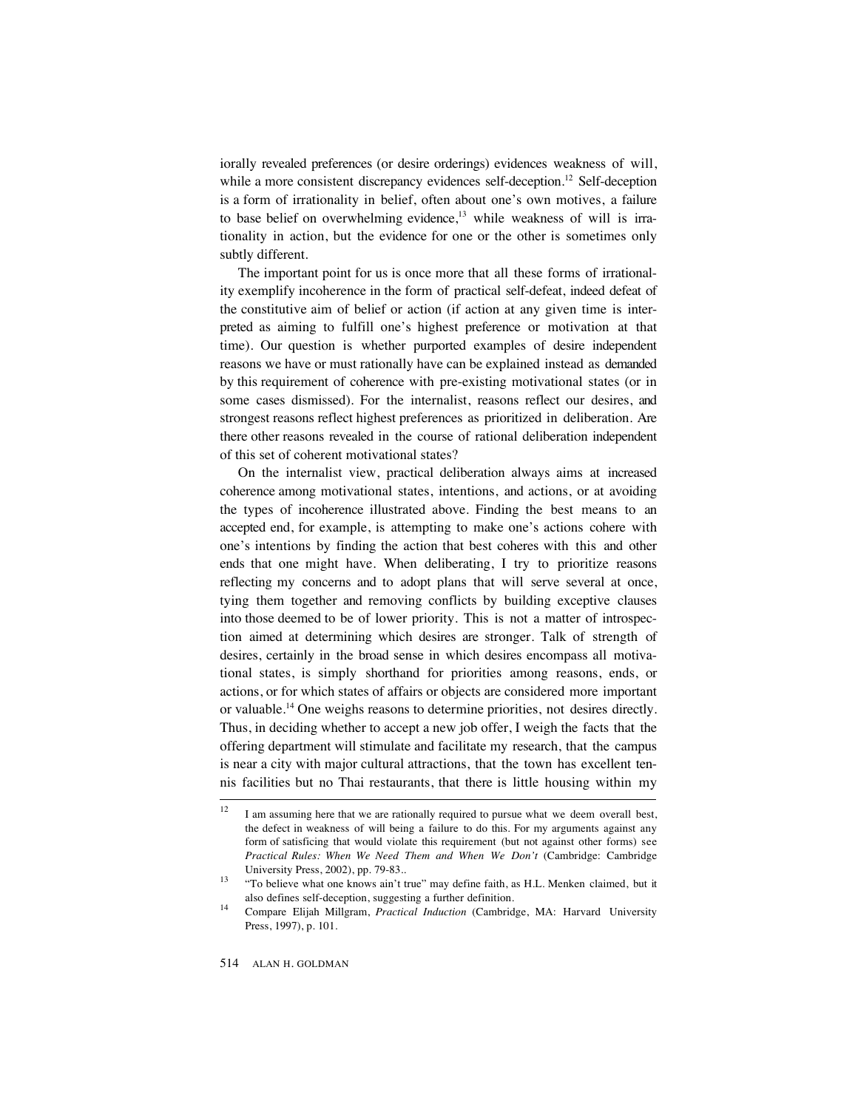iorally revealed preferences (or desire orderings) evidences weakness of will, while a more consistent discrepancy evidences self-deception.<sup>12</sup> Self-deception is a form of irrationality in belief, often about one's own motives, a failure to base belief on overwhelming evidence, $13$  while weakness of will is irrationality in action, but the evidence for one or the other is sometimes only subtly different.

The important point for us is once more that all these forms of irrationality exemplify incoherence in the form of practical self-defeat, indeed defeat of the constitutive aim of belief or action (if action at any given time is interpreted as aiming to fulfill one's highest preference or motivation at that time). Our question is whether purported examples of desire independent reasons we have or must rationally have can be explained instead as demanded by this requirement of coherence with pre-existing motivational states (or in some cases dismissed). For the internalist, reasons reflect our desires, and strongest reasons reflect highest preferences as prioritized in deliberation. Are there other reasons revealed in the course of rational deliberation independent of this set of coherent motivational states?

On the internalist view, practical deliberation always aims at increased coherence among motivational states, intentions, and actions, or at avoiding the types of incoherence illustrated above. Finding the best means to an accepted end, for example, is attempting to make one's actions cohere with one's intentions by finding the action that best coheres with this and other ends that one might have. When deliberating, I try to prioritize reasons reflecting my concerns and to adopt plans that will serve several at once, tying them together and removing conflicts by building exceptive clauses into those deemed to be of lower priority. This is not a matter of introspection aimed at determining which desires are stronger. Talk of strength of desires, certainly in the broad sense in which desires encompass all motivational states, is simply shorthand for priorities among reasons, ends, or actions, or for which states of affairs or objects are considered more important or valuable.14 One weighs reasons to determine priorities, not desires directly. Thus, in deciding whether to accept a new job offer, I weigh the facts that the offering department will stimulate and facilitate my research, that the campus is near a city with major cultural attractions, that the town has excellent tennis facilities but no Thai restaurants, that there is little housing within my

 $12$ I am assuming here that we are rationally required to pursue what we deem overall best, the defect in weakness of will being a failure to do this. For my arguments against any form of satisficing that would violate this requirement (but not against other forms) see *Practical Rules: When We Need Them and When We Don't* (Cambridge: Cambridge University Press, 2002), pp. 79-83..<br><sup>13</sup> "To believe what one knows ain't true" may define faith, as H.L. Menken claimed, but it

also defines self-deception, suggesting a further definition. <sup>14</sup> Compare Elijah Millgram, *Practical Induction* (Cambridge, MA: Harvard University Press, 1997), p. 101.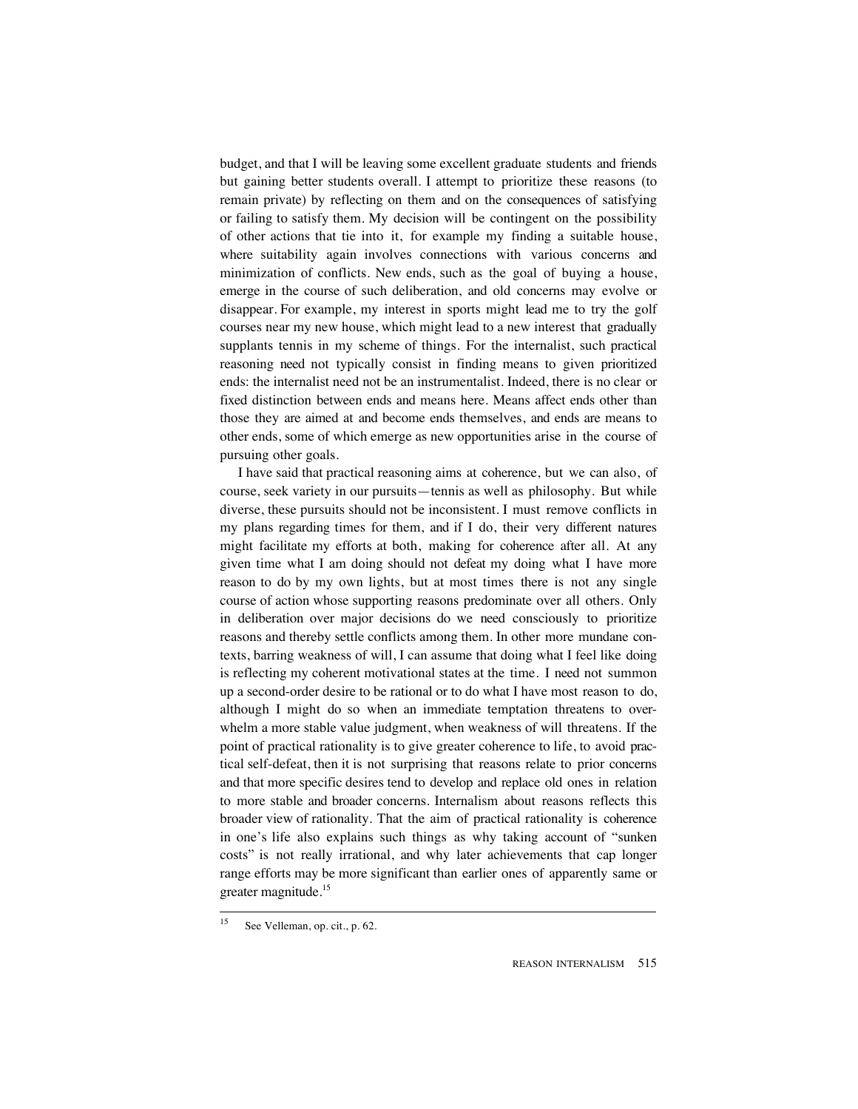budget, and that I will be leaving some excellent graduate students and friends but gaining better students overall. I attempt to prioritize these reasons (to remain private) by reflecting on them and on the consequences of satisfying or failing to satisfy them. My decision will be contingent on the possibility of other actions that tie into it, for example my finding a suitable house, where suitability again involves connections with various concerns and minimization of conflicts. New ends, such as the goal of buying a house, emerge in the course of such deliberation, and old concerns may evolve or disappear. For example, my interest in sports might lead me to try the golf courses near my new house, which might lead to a new interest that gradually supplants tennis in my scheme of things. For the internalist, such practical reasoning need not typically consist in finding means to given prioritized ends: the internalist need not be an instrumentalist. Indeed, there is no clear or fixed distinction between ends and means here. Means affect ends other than those they are aimed at and become ends themselves, and ends are means to other ends, some of which emerge as new opportunities arise in the course of pursuing other goals.

I have said that practical reasoning aims at coherence, but we can also, of course, seek variety in our pursuits—tennis as well as philosophy. But while diverse, these pursuits should not be inconsistent. I must remove conflicts in my plans regarding times for them, and if I do, their very different natures might facilitate my efforts at both, making for coherence after all. At any given time what I am doing should not defeat my doing what I have more reason to do by my own lights, but at most times there is not any single course of action whose supporting reasons predominate over all others. Only in deliberation over major decisions do we need consciously to prioritize reasons and thereby settle conflicts among them. In other more mundane contexts, barring weakness of will, I can assume that doing what I feel like doing is reflecting my coherent motivational states at the time. I need not summon up a second-order desire to be rational or to do what I have most reason to do, although I might do so when an immediate temptation threatens to overwhelm a more stable value judgment, when weakness of will threatens. If the point of practical rationality is to give greater coherence to life, to avoid practical self-defeat, then it is not surprising that reasons relate to prior concerns and that more specific desires tend to develop and replace old ones in relation to more stable and broader concerns. Internalism about reasons reflects this broader view of rationality. That the aim of practical rationality is coherence in one's life also explains such things as why taking account of "sunken costs" is not really irrational, and why later achievements that cap longer range efforts may be more significant than earlier ones of apparently same or greater magnitude.<sup>15</sup>

<sup>15</sup> See Velleman, op. cit., p. 62.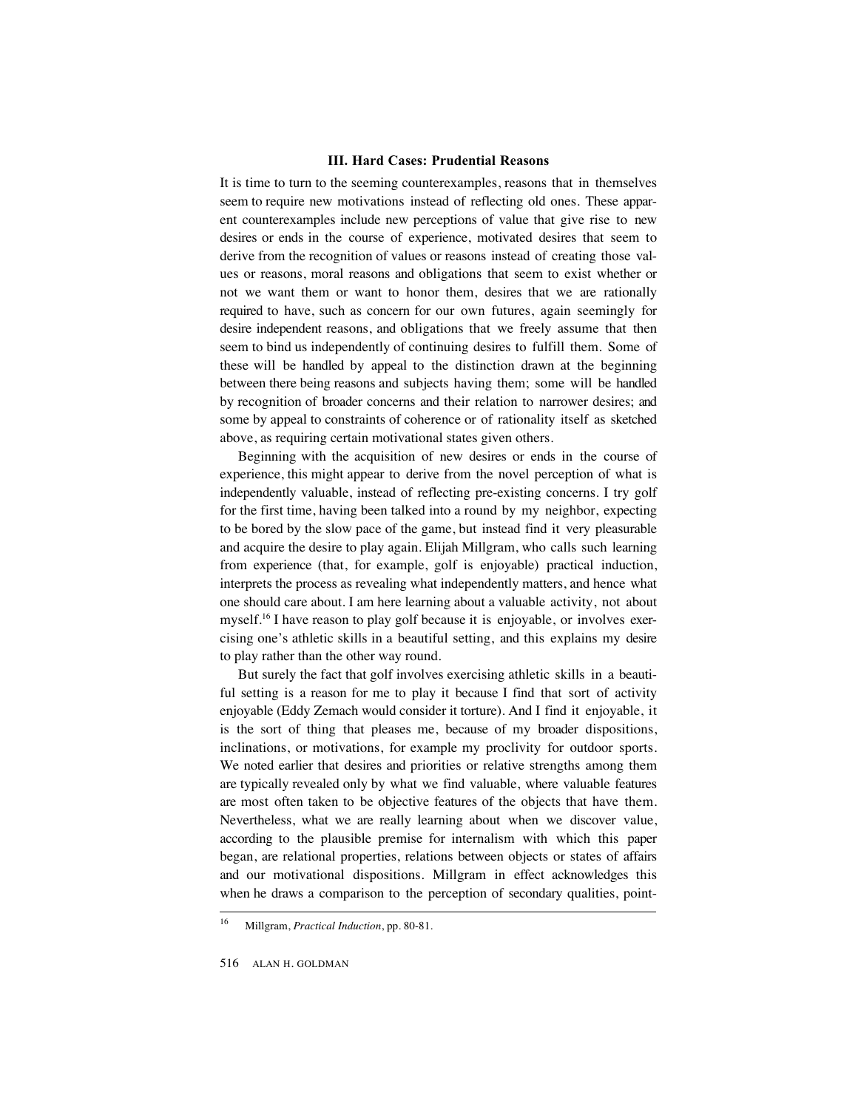## **III. Hard Cases: Prudential Reasons**

It is time to turn to the seeming counterexamples, reasons that in themselves seem to require new motivations instead of reflecting old ones. These apparent counterexamples include new perceptions of value that give rise to new desires or ends in the course of experience, motivated desires that seem to derive from the recognition of values or reasons instead of creating those values or reasons, moral reasons and obligations that seem to exist whether or not we want them or want to honor them, desires that we are rationally required to have, such as concern for our own futures, again seemingly for desire independent reasons, and obligations that we freely assume that then seem to bind us independently of continuing desires to fulfill them. Some of these will be handled by appeal to the distinction drawn at the beginning between there being reasons and subjects having them; some will be handled by recognition of broader concerns and their relation to narrower desires; and some by appeal to constraints of coherence or of rationality itself as sketched above, as requiring certain motivational states given others.

Beginning with the acquisition of new desires or ends in the course of experience, this might appear to derive from the novel perception of what is independently valuable, instead of reflecting pre-existing concerns. I try golf for the first time, having been talked into a round by my neighbor, expecting to be bored by the slow pace of the game, but instead find it very pleasurable and acquire the desire to play again. Elijah Millgram, who calls such learning from experience (that, for example, golf is enjoyable) practical induction, interprets the process as revealing what independently matters, and hence what one should care about. I am here learning about a valuable activity, not about myself.16 I have reason to play golf because it is enjoyable, or involves exercising one's athletic skills in a beautiful setting, and this explains my desire to play rather than the other way round.

But surely the fact that golf involves exercising athletic skills in a beautiful setting is a reason for me to play it because I find that sort of activity enjoyable (Eddy Zemach would consider it torture). And I find it enjoyable, it is the sort of thing that pleases me, because of my broader dispositions, inclinations, or motivations, for example my proclivity for outdoor sports. We noted earlier that desires and priorities or relative strengths among them are typically revealed only by what we find valuable, where valuable features are most often taken to be objective features of the objects that have them. Nevertheless, what we are really learning about when we discover value, according to the plausible premise for internalism with which this paper began, are relational properties, relations between objects or states of affairs and our motivational dispositions. Millgram in effect acknowledges this when he draws a comparison to the perception of secondary qualities, point-

 $16<sup>16</sup>$ <sup>16</sup> Millgram, *Practical Induction*, pp. 80-81.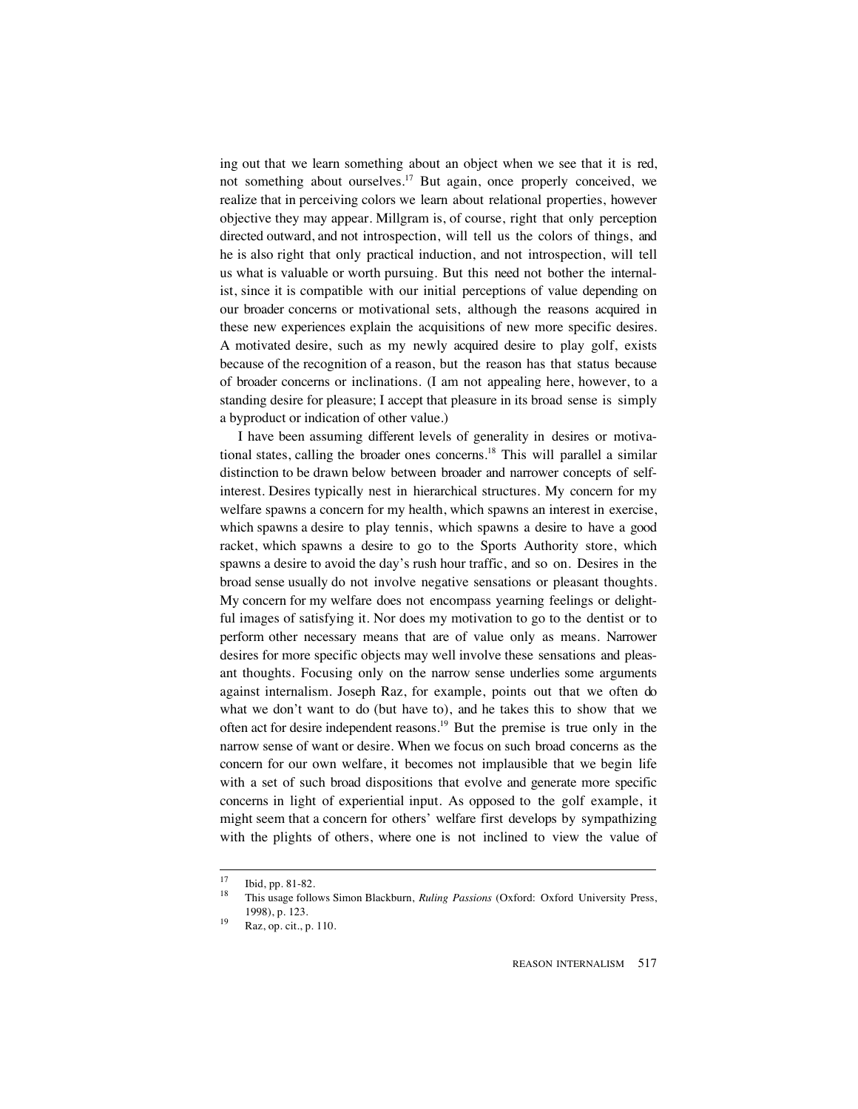ing out that we learn something about an object when we see that it is red, not something about ourselves.<sup>17</sup> But again, once properly conceived, we realize that in perceiving colors we learn about relational properties, however objective they may appear. Millgram is, of course, right that only perception directed outward, and not introspection, will tell us the colors of things, and he is also right that only practical induction, and not introspection, will tell us what is valuable or worth pursuing. But this need not bother the internalist, since it is compatible with our initial perceptions of value depending on our broader concerns or motivational sets, although the reasons acquired in these new experiences explain the acquisitions of new more specific desires. A motivated desire, such as my newly acquired desire to play golf, exists because of the recognition of a reason, but the reason has that status because of broader concerns or inclinations. (I am not appealing here, however, to a standing desire for pleasure; I accept that pleasure in its broad sense is simply a byproduct or indication of other value.)

I have been assuming different levels of generality in desires or motivational states, calling the broader ones concerns.<sup>18</sup> This will parallel a similar distinction to be drawn below between broader and narrower concepts of selfinterest. Desires typically nest in hierarchical structures. My concern for my welfare spawns a concern for my health, which spawns an interest in exercise, which spawns a desire to play tennis, which spawns a desire to have a good racket, which spawns a desire to go to the Sports Authority store, which spawns a desire to avoid the day's rush hour traffic, and so on. Desires in the broad sense usually do not involve negative sensations or pleasant thoughts. My concern for my welfare does not encompass yearning feelings or delightful images of satisfying it. Nor does my motivation to go to the dentist or to perform other necessary means that are of value only as means. Narrower desires for more specific objects may well involve these sensations and pleasant thoughts. Focusing only on the narrow sense underlies some arguments against internalism. Joseph Raz, for example, points out that we often do what we don't want to do (but have to), and he takes this to show that we often act for desire independent reasons.19 But the premise is true only in the narrow sense of want or desire. When we focus on such broad concerns as the concern for our own welfare, it becomes not implausible that we begin life with a set of such broad dispositions that evolve and generate more specific concerns in light of experiential input. As opposed to the golf example, it might seem that a concern for others' welfare first develops by sympathizing with the plights of others, where one is not inclined to view the value of

 $17<sup>17</sup>$ 

<sup>&</sup>lt;sup>17</sup> Ibid, pp. 81-82.<br><sup>18</sup> This usage follows Simon Blackburn, *Ruling Passions* (Oxford: Oxford University Press, 1998), p. 123.<br>
19 Raz, op. cit., p. 110.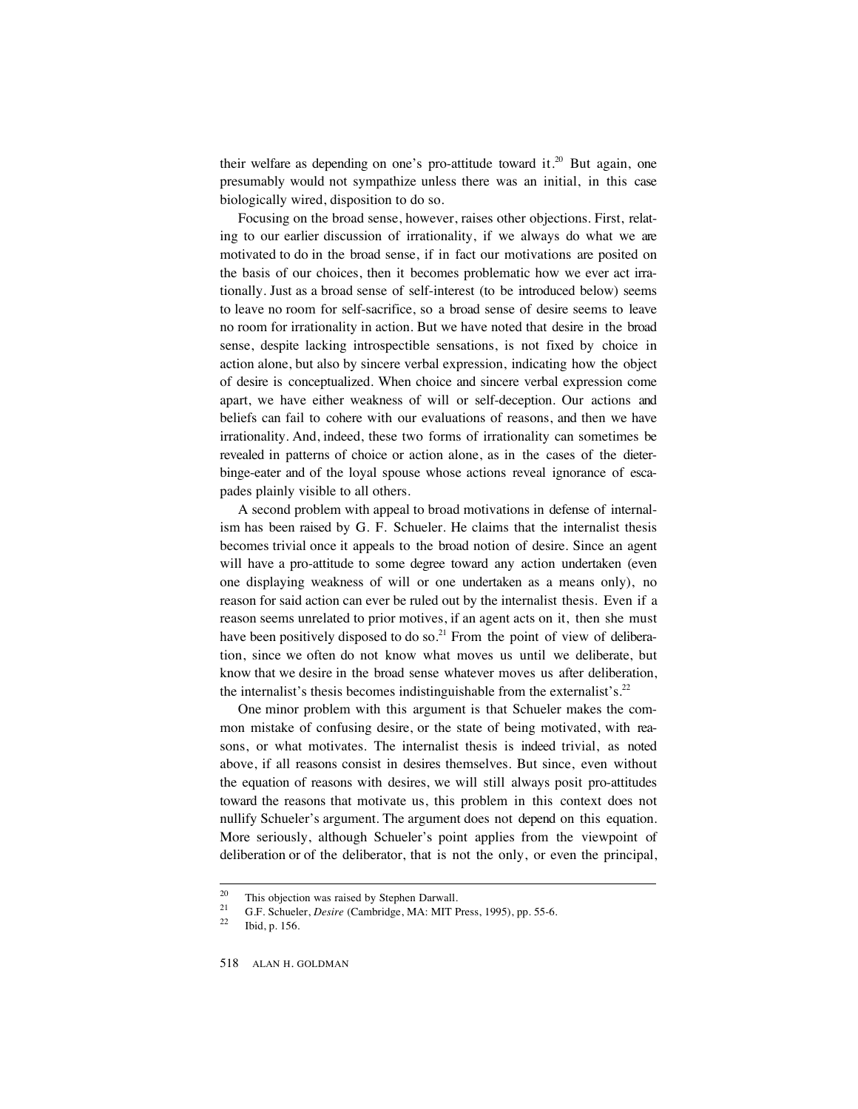their welfare as depending on one's pro-attitude toward it.<sup>20</sup> But again, one presumably would not sympathize unless there was an initial, in this case biologically wired, disposition to do so.

Focusing on the broad sense, however, raises other objections. First, relating to our earlier discussion of irrationality, if we always do what we are motivated to do in the broad sense, if in fact our motivations are posited on the basis of our choices, then it becomes problematic how we ever act irrationally. Just as a broad sense of self-interest (to be introduced below) seems to leave no room for self-sacrifice, so a broad sense of desire seems to leave no room for irrationality in action. But we have noted that desire in the broad sense, despite lacking introspectible sensations, is not fixed by choice in action alone, but also by sincere verbal expression, indicating how the object of desire is conceptualized. When choice and sincere verbal expression come apart, we have either weakness of will or self-deception. Our actions and beliefs can fail to cohere with our evaluations of reasons, and then we have irrationality. And, indeed, these two forms of irrationality can sometimes be revealed in patterns of choice or action alone, as in the cases of the dieterbinge-eater and of the loyal spouse whose actions reveal ignorance of escapades plainly visible to all others.

A second problem with appeal to broad motivations in defense of internalism has been raised by G. F. Schueler. He claims that the internalist thesis becomes trivial once it appeals to the broad notion of desire. Since an agent will have a pro-attitude to some degree toward any action undertaken (even one displaying weakness of will or one undertaken as a means only), no reason for said action can ever be ruled out by the internalist thesis. Even if a reason seems unrelated to prior motives, if an agent acts on it, then she must have been positively disposed to do so.<sup>21</sup> From the point of view of deliberation, since we often do not know what moves us until we deliberate, but know that we desire in the broad sense whatever moves us after deliberation, the internalist's thesis becomes indistinguishable from the externalist's.<sup>22</sup>

One minor problem with this argument is that Schueler makes the common mistake of confusing desire, or the state of being motivated, with reasons, or what motivates. The internalist thesis is indeed trivial, as noted above, if all reasons consist in desires themselves. But since, even without the equation of reasons with desires, we will still always posit pro-attitudes toward the reasons that motivate us, this problem in this context does not nullify Schueler's argument. The argument does not depend on this equation. More seriously, although Schueler's point applies from the viewpoint of deliberation or of the deliberator, that is not the only, or even the principal,

 $20$ 

<sup>&</sup>lt;sup>20</sup> This objection was raised by Stephen Darwall.<br><sup>21</sup> G.F. Schueler, *Desire* (Cambridge, MA: MIT Press, 1995), pp. 55-6.<br><sup>22</sup> Ibid, p. 156.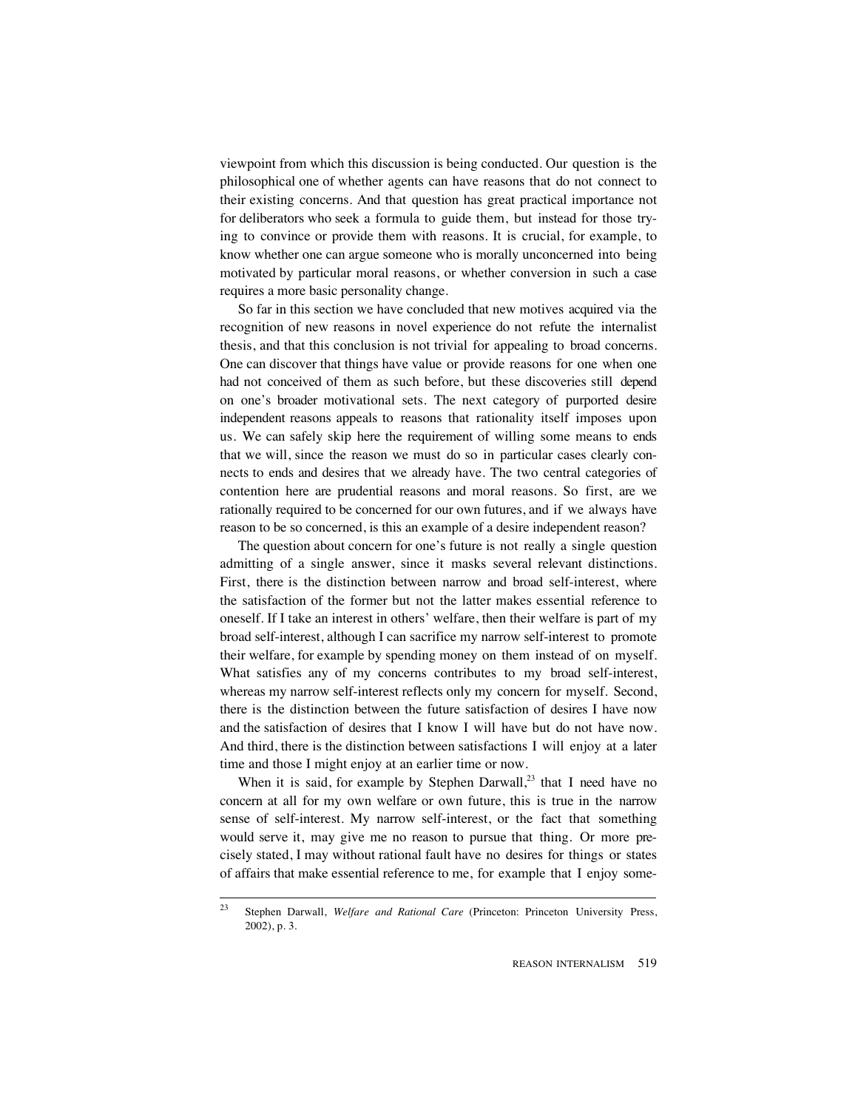viewpoint from which this discussion is being conducted. Our question is the philosophical one of whether agents can have reasons that do not connect to their existing concerns. And that question has great practical importance not for deliberators who seek a formula to guide them, but instead for those trying to convince or provide them with reasons. It is crucial, for example, to know whether one can argue someone who is morally unconcerned into being motivated by particular moral reasons, or whether conversion in such a case requires a more basic personality change.

So far in this section we have concluded that new motives acquired via the recognition of new reasons in novel experience do not refute the internalist thesis, and that this conclusion is not trivial for appealing to broad concerns. One can discover that things have value or provide reasons for one when one had not conceived of them as such before, but these discoveries still depend on one's broader motivational sets. The next category of purported desire independent reasons appeals to reasons that rationality itself imposes upon us. We can safely skip here the requirement of willing some means to ends that we will, since the reason we must do so in particular cases clearly connects to ends and desires that we already have. The two central categories of contention here are prudential reasons and moral reasons. So first, are we rationally required to be concerned for our own futures, and if we always have reason to be so concerned, is this an example of a desire independent reason?

The question about concern for one's future is not really a single question admitting of a single answer, since it masks several relevant distinctions. First, there is the distinction between narrow and broad self-interest, where the satisfaction of the former but not the latter makes essential reference to oneself. If I take an interest in others' welfare, then their welfare is part of my broad self-interest, although I can sacrifice my narrow self-interest to promote their welfare, for example by spending money on them instead of on myself. What satisfies any of my concerns contributes to my broad self-interest, whereas my narrow self-interest reflects only my concern for myself. Second, there is the distinction between the future satisfaction of desires I have now and the satisfaction of desires that I know I will have but do not have now. And third, there is the distinction between satisfactions I will enjoy at a later time and those I might enjoy at an earlier time or now.

When it is said, for example by Stephen Darwall,<sup>23</sup> that I need have no concern at all for my own welfare or own future, this is true in the narrow sense of self-interest. My narrow self-interest, or the fact that something would serve it, may give me no reason to pursue that thing. Or more precisely stated, I may without rational fault have no desires for things or states of affairs that make essential reference to me, for example that I enjoy some-

<sup>23</sup> Stephen Darwall, *Welfare and Rational Care* (Princeton: Princeton University Press, 2002), p. 3.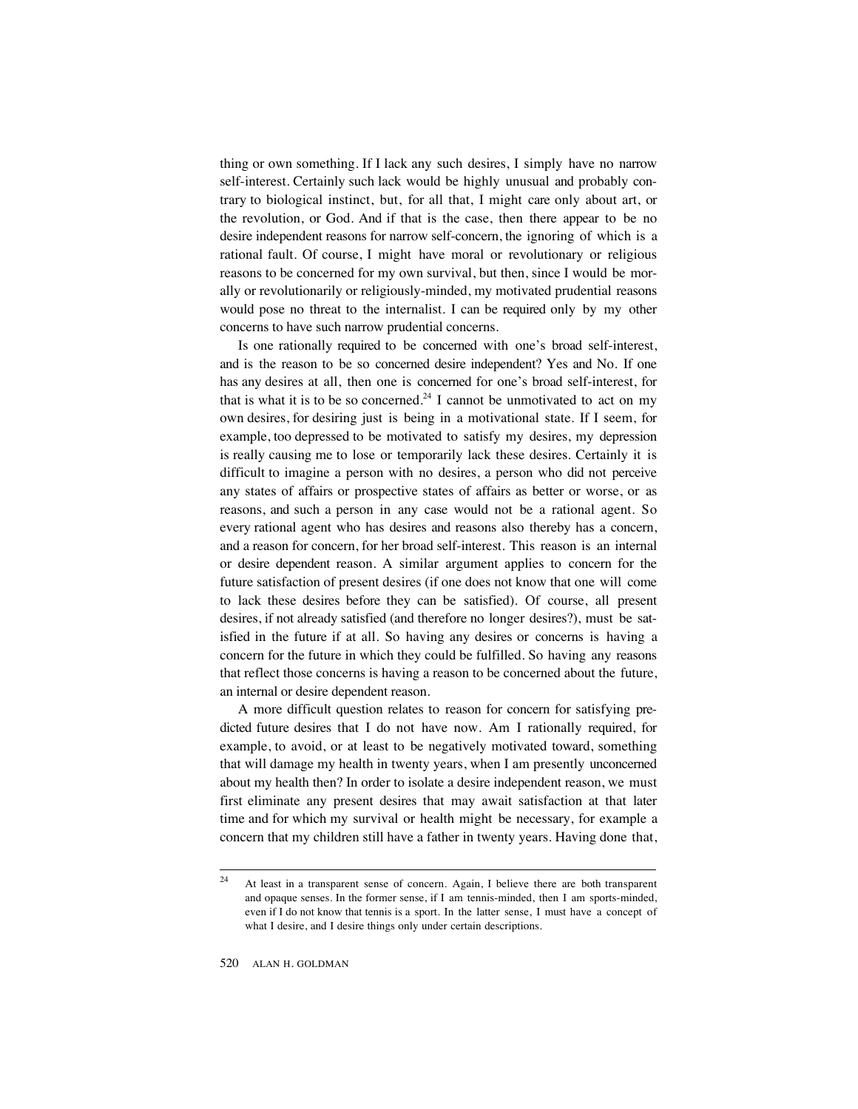thing or own something. If I lack any such desires, I simply have no narrow self-interest. Certainly such lack would be highly unusual and probably contrary to biological instinct, but, for all that, I might care only about art, or the revolution, or God. And if that is the case, then there appear to be no desire independent reasons for narrow self-concern, the ignoring of which is a rational fault. Of course, I might have moral or revolutionary or religious reasons to be concerned for my own survival, but then, since I would be morally or revolutionarily or religiously-minded, my motivated prudential reasons would pose no threat to the internalist. I can be required only by my other concerns to have such narrow prudential concerns.

Is one rationally required to be concerned with one's broad self-interest, and is the reason to be so concerned desire independent? Yes and No. If one has any desires at all, then one is concerned for one's broad self-interest, for that is what it is to be so concerned.<sup>24</sup> I cannot be unmotivated to act on my own desires, for desiring just is being in a motivational state. If I seem, for example, too depressed to be motivated to satisfy my desires, my depression is really causing me to lose or temporarily lack these desires. Certainly it is difficult to imagine a person with no desires, a person who did not perceive any states of affairs or prospective states of affairs as better or worse, or as reasons, and such a person in any case would not be a rational agent. So every rational agent who has desires and reasons also thereby has a concern, and a reason for concern, for her broad self-interest. This reason is an internal or desire dependent reason. A similar argument applies to concern for the future satisfaction of present desires (if one does not know that one will come to lack these desires before they can be satisfied). Of course, all present desires, if not already satisfied (and therefore no longer desires?), must be satisfied in the future if at all. So having any desires or concerns is having a concern for the future in which they could be fulfilled. So having any reasons that reflect those concerns is having a reason to be concerned about the future, an internal or desire dependent reason.

A more difficult question relates to reason for concern for satisfying predicted future desires that I do not have now. Am I rationally required, for example, to avoid, or at least to be negatively motivated toward, something that will damage my health in twenty years, when I am presently unconcerned about my health then? In order to isolate a desire independent reason, we must first eliminate any present desires that may await satisfaction at that later time and for which my survival or health might be necessary, for example a concern that my children still have a father in twenty years. Having done that,

<sup>24</sup> <sup>24</sup> At least in a transparent sense of concern. Again, I believe there are both transparent and opaque senses. In the former sense, if I am tennis-minded, then I am sports-minded, even if I do not know that tennis is a sport. In the latter sense, I must have a concept of what I desire, and I desire things only under certain descriptions.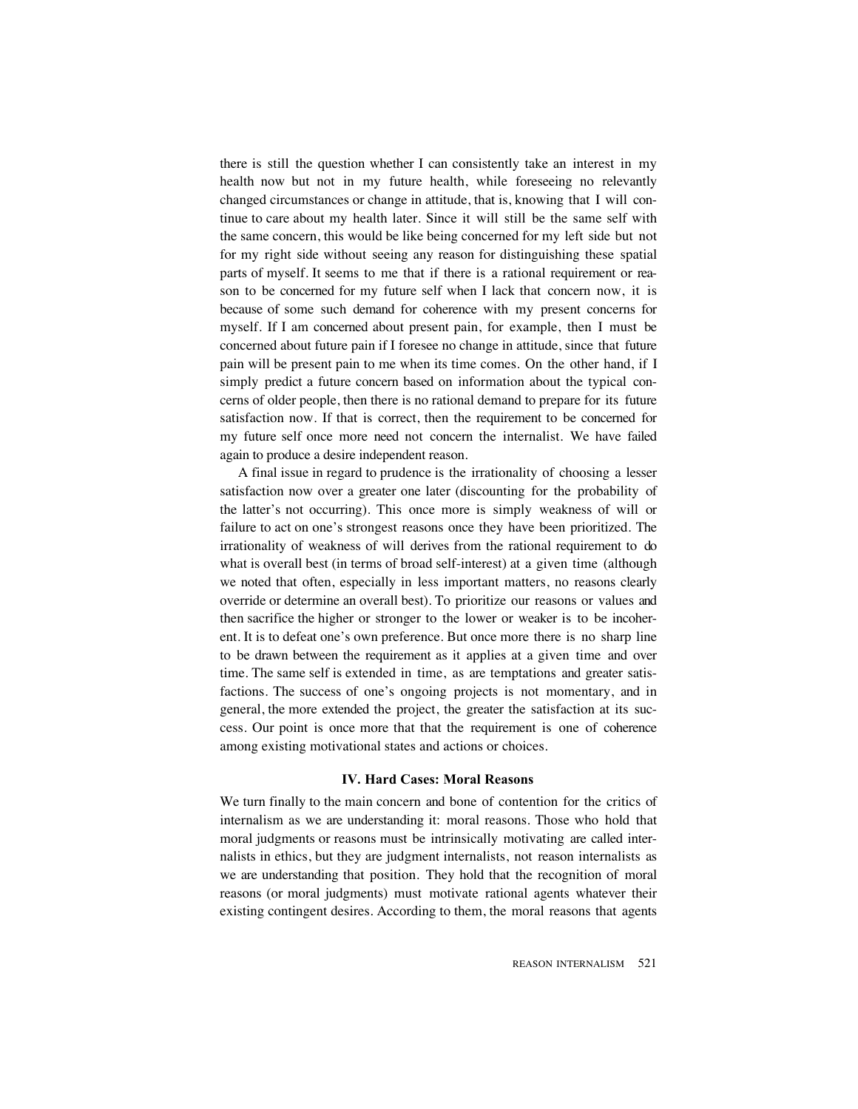there is still the question whether I can consistently take an interest in my health now but not in my future health, while foreseeing no relevantly changed circumstances or change in attitude, that is, knowing that I will continue to care about my health later. Since it will still be the same self with the same concern, this would be like being concerned for my left side but not for my right side without seeing any reason for distinguishing these spatial parts of myself. It seems to me that if there is a rational requirement or reason to be concerned for my future self when I lack that concern now, it is because of some such demand for coherence with my present concerns for myself. If I am concerned about present pain, for example, then I must be concerned about future pain if I foresee no change in attitude, since that future pain will be present pain to me when its time comes. On the other hand, if I simply predict a future concern based on information about the typical concerns of older people, then there is no rational demand to prepare for its future satisfaction now. If that is correct, then the requirement to be concerned for my future self once more need not concern the internalist. We have failed again to produce a desire independent reason.

A final issue in regard to prudence is the irrationality of choosing a lesser satisfaction now over a greater one later (discounting for the probability of the latter's not occurring). This once more is simply weakness of will or failure to act on one's strongest reasons once they have been prioritized. The irrationality of weakness of will derives from the rational requirement to do what is overall best (in terms of broad self-interest) at a given time (although we noted that often, especially in less important matters, no reasons clearly override or determine an overall best). To prioritize our reasons or values and then sacrifice the higher or stronger to the lower or weaker is to be incoherent. It is to defeat one's own preference. But once more there is no sharp line to be drawn between the requirement as it applies at a given time and over time. The same self is extended in time, as are temptations and greater satisfactions. The success of one's ongoing projects is not momentary, and in general, the more extended the project, the greater the satisfaction at its success. Our point is once more that that the requirement is one of coherence among existing motivational states and actions or choices.

## **IV. Hard Cases: Moral Reasons**

We turn finally to the main concern and bone of contention for the critics of internalism as we are understanding it: moral reasons. Those who hold that moral judgments or reasons must be intrinsically motivating are called internalists in ethics, but they are judgment internalists, not reason internalists as we are understanding that position. They hold that the recognition of moral reasons (or moral judgments) must motivate rational agents whatever their existing contingent desires. According to them, the moral reasons that agents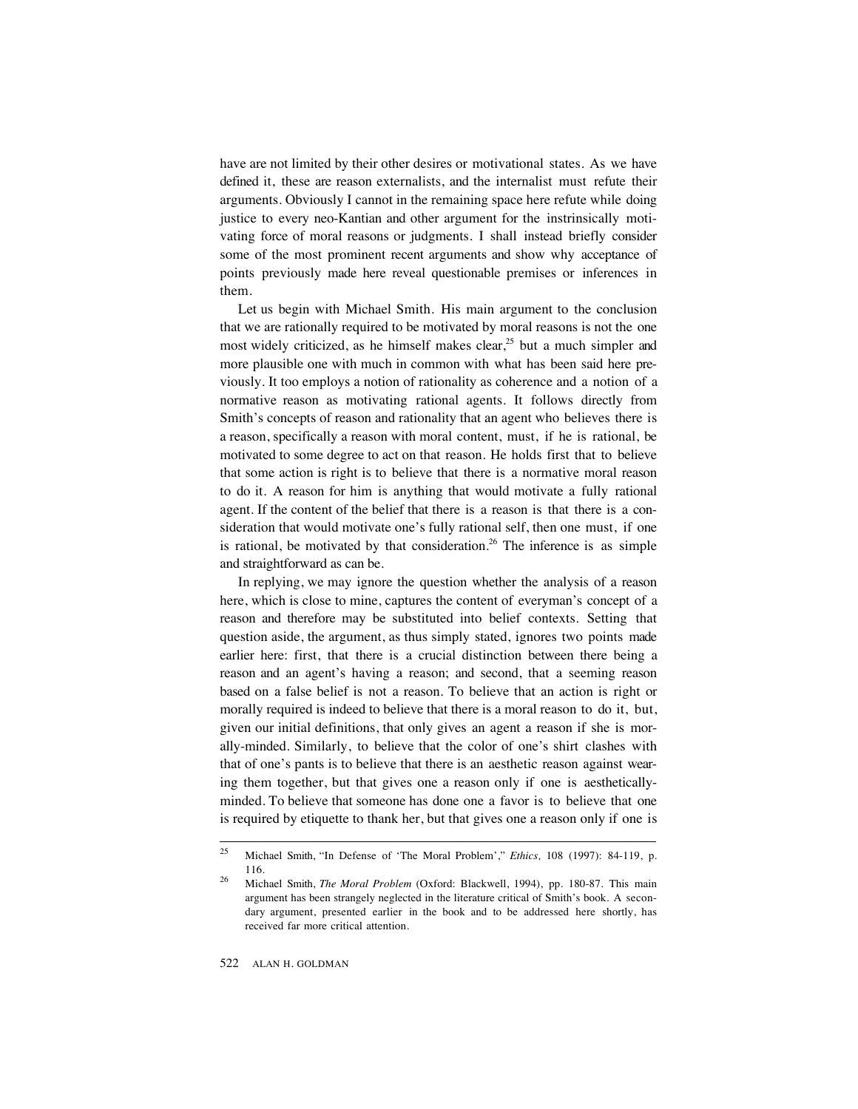have are not limited by their other desires or motivational states. As we have defined it, these are reason externalists, and the internalist must refute their arguments. Obviously I cannot in the remaining space here refute while doing justice to every neo-Kantian and other argument for the instrinsically motivating force of moral reasons or judgments. I shall instead briefly consider some of the most prominent recent arguments and show why acceptance of points previously made here reveal questionable premises or inferences in them.

Let us begin with Michael Smith. His main argument to the conclusion that we are rationally required to be motivated by moral reasons is not the one most widely criticized, as he himself makes clear, $25$  but a much simpler and more plausible one with much in common with what has been said here previously. It too employs a notion of rationality as coherence and a notion of a normative reason as motivating rational agents. It follows directly from Smith's concepts of reason and rationality that an agent who believes there is a reason, specifically a reason with moral content, must, if he is rational, be motivated to some degree to act on that reason. He holds first that to believe that some action is right is to believe that there is a normative moral reason to do it. A reason for him is anything that would motivate a fully rational agent. If the content of the belief that there is a reason is that there is a consideration that would motivate one's fully rational self, then one must, if one is rational, be motivated by that consideration.<sup>26</sup> The inference is as simple and straightforward as can be.

In replying, we may ignore the question whether the analysis of a reason here, which is close to mine, captures the content of everyman's concept of a reason and therefore may be substituted into belief contexts. Setting that question aside, the argument, as thus simply stated, ignores two points made earlier here: first, that there is a crucial distinction between there being a reason and an agent's having a reason; and second, that a seeming reason based on a false belief is not a reason. To believe that an action is right or morally required is indeed to believe that there is a moral reason to do it, but, given our initial definitions, that only gives an agent a reason if she is morally-minded. Similarly, to believe that the color of one's shirt clashes with that of one's pants is to believe that there is an aesthetic reason against wearing them together, but that gives one a reason only if one is aestheticallyminded. To believe that someone has done one a favor is to believe that one is required by etiquette to thank her, but that gives one a reason only if one is

 $25$ <sup>25</sup> Michael Smith, "In Defense of 'The Moral Problem'," *Ethics,* 108 (1997): 84-119, p. 116. <sup>26</sup> Michael Smith, *The Moral Problem* (Oxford: Blackwell, 1994), pp. 180-87. This main

argument has been strangely neglected in the literature critical of Smith's book. A secondary argument, presented earlier in the book and to be addressed here shortly, has received far more critical attention.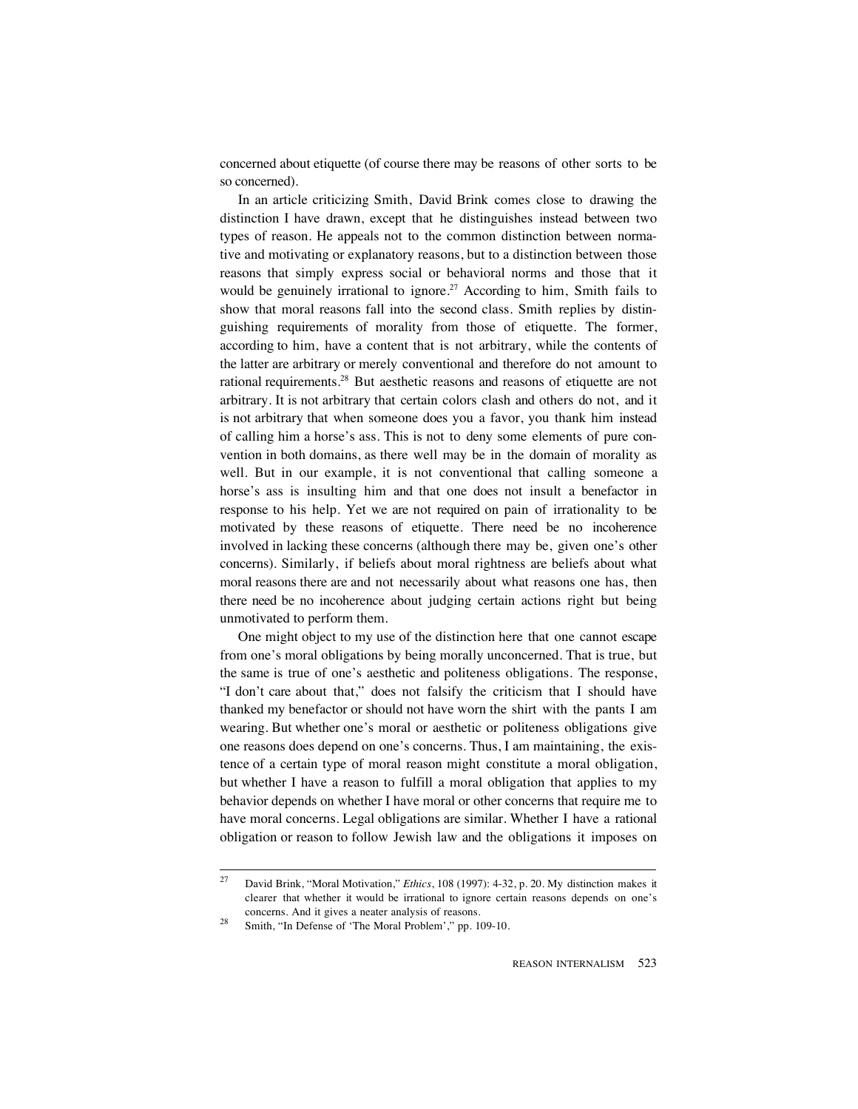concerned about etiquette (of course there may be reasons of other sorts to be so concerned).

In an article criticizing Smith, David Brink comes close to drawing the distinction I have drawn, except that he distinguishes instead between two types of reason. He appeals not to the common distinction between normative and motivating or explanatory reasons, but to a distinction between those reasons that simply express social or behavioral norms and those that it would be genuinely irrational to ignore.<sup>27</sup> According to him, Smith fails to show that moral reasons fall into the second class. Smith replies by distinguishing requirements of morality from those of etiquette. The former, according to him, have a content that is not arbitrary, while the contents of the latter are arbitrary or merely conventional and therefore do not amount to rational requirements.<sup>28</sup> But aesthetic reasons and reasons of etiquette are not arbitrary. It is not arbitrary that certain colors clash and others do not, and it is not arbitrary that when someone does you a favor, you thank him instead of calling him a horse's ass. This is not to deny some elements of pure convention in both domains, as there well may be in the domain of morality as well. But in our example, it is not conventional that calling someone a horse's ass is insulting him and that one does not insult a benefactor in response to his help. Yet we are not required on pain of irrationality to be motivated by these reasons of etiquette. There need be no incoherence involved in lacking these concerns (although there may be, given one's other concerns). Similarly, if beliefs about moral rightness are beliefs about what moral reasons there are and not necessarily about what reasons one has, then there need be no incoherence about judging certain actions right but being unmotivated to perform them.

One might object to my use of the distinction here that one cannot escape from one's moral obligations by being morally unconcerned. That is true, but the same is true of one's aesthetic and politeness obligations. The response, "I don't care about that," does not falsify the criticism that I should have thanked my benefactor or should not have worn the shirt with the pants I am wearing. But whether one's moral or aesthetic or politeness obligations give one reasons does depend on one's concerns. Thus, I am maintaining, the existence of a certain type of moral reason might constitute a moral obligation, but whether I have a reason to fulfill a moral obligation that applies to my behavior depends on whether I have moral or other concerns that require me to have moral concerns. Legal obligations are similar. Whether I have a rational obligation or reason to follow Jewish law and the obligations it imposes on

<sup>27</sup> <sup>27</sup> David Brink, "Moral Motivation," *Ethics*, 108 (1997): 4-32, p. 20. My distinction makes it clearer that whether it would be irrational to ignore certain reasons depends on one's concerns. And it gives a neater analysis of reasons.<br><sup>28</sup> Smith, "In Defense of 'The Moral Problem'," pp. 109-10.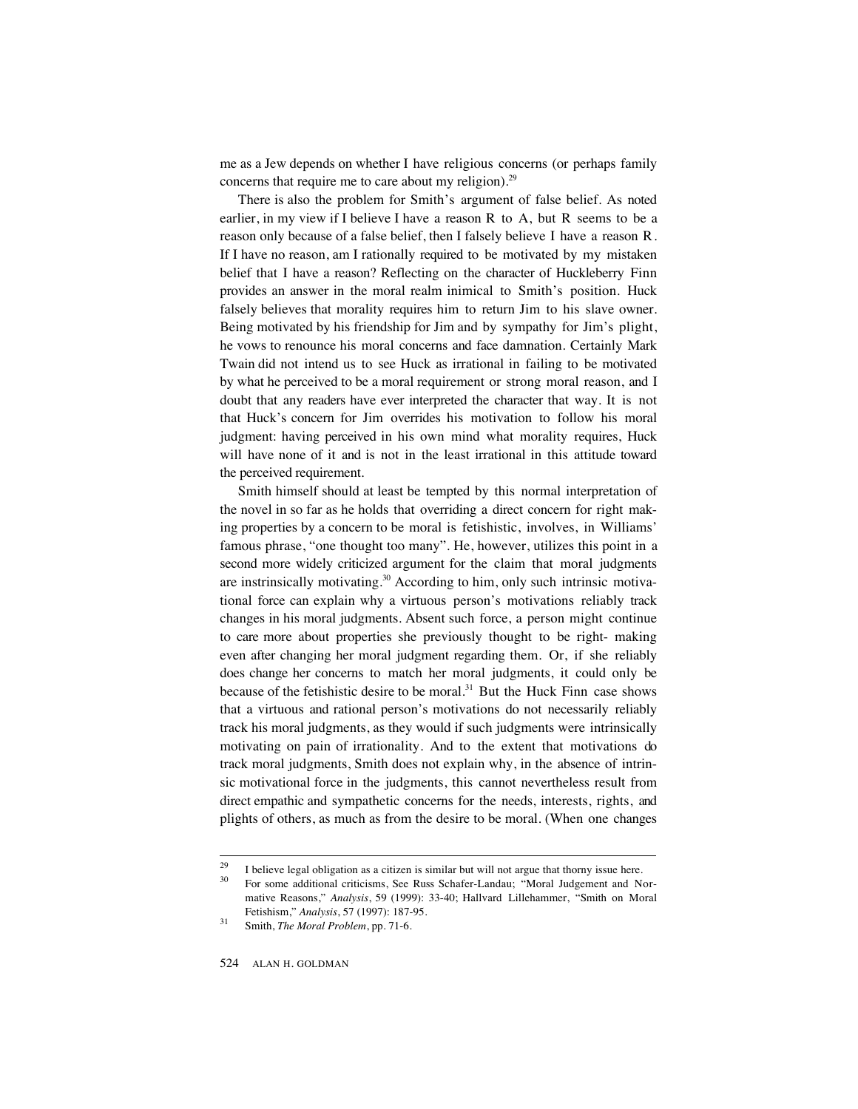me as a Jew depends on whether I have religious concerns (or perhaps family concerns that require me to care about my religion).<sup>29</sup>

There is also the problem for Smith's argument of false belief. As noted earlier, in my view if I believe I have a reason R to A, but R seems to be a reason only because of a false belief, then I falsely believe I have a reason R. If I have no reason, am I rationally required to be motivated by my mistaken belief that I have a reason? Reflecting on the character of Huckleberry Finn provides an answer in the moral realm inimical to Smith's position. Huck falsely believes that morality requires him to return Jim to his slave owner. Being motivated by his friendship for Jim and by sympathy for Jim's plight, he vows to renounce his moral concerns and face damnation. Certainly Mark Twain did not intend us to see Huck as irrational in failing to be motivated by what he perceived to be a moral requirement or strong moral reason, and I doubt that any readers have ever interpreted the character that way. It is not that Huck's concern for Jim overrides his motivation to follow his moral judgment: having perceived in his own mind what morality requires, Huck will have none of it and is not in the least irrational in this attitude toward the perceived requirement.

Smith himself should at least be tempted by this normal interpretation of the novel in so far as he holds that overriding a direct concern for right making properties by a concern to be moral is fetishistic, involves, in Williams' famous phrase, "one thought too many". He, however, utilizes this point in a second more widely criticized argument for the claim that moral judgments are instrinsically motivating.30 According to him, only such intrinsic motivational force can explain why a virtuous person's motivations reliably track changes in his moral judgments. Absent such force, a person might continue to care more about properties she previously thought to be right- making even after changing her moral judgment regarding them. Or, if she reliably does change her concerns to match her moral judgments, it could only be because of the fetishistic desire to be moral.<sup>31</sup> But the Huck Finn case shows that a virtuous and rational person's motivations do not necessarily reliably track his moral judgments, as they would if such judgments were intrinsically motivating on pain of irrationality. And to the extent that motivations do track moral judgments, Smith does not explain why, in the absence of intrinsic motivational force in the judgments, this cannot nevertheless result from direct empathic and sympathetic concerns for the needs, interests, rights, and plights of others, as much as from the desire to be moral. (When one changes

<sup>29</sup> <sup>29</sup> I believe legal obligation as a citizen is similar but will not argue that thorny issue here.<br><sup>30</sup> For some additional criticisms, See Russ Schafer-Landau; "Moral Judgement and Nor-

mative Reasons," *Analysis*, 59 (1999): 33-40; Hallvard Lillehammer, "Smith on Moral Fetishism," *Analysis*, 57 (1997): 187-95. <sup>31</sup> Smith, *The Moral Problem*, pp. 71-6.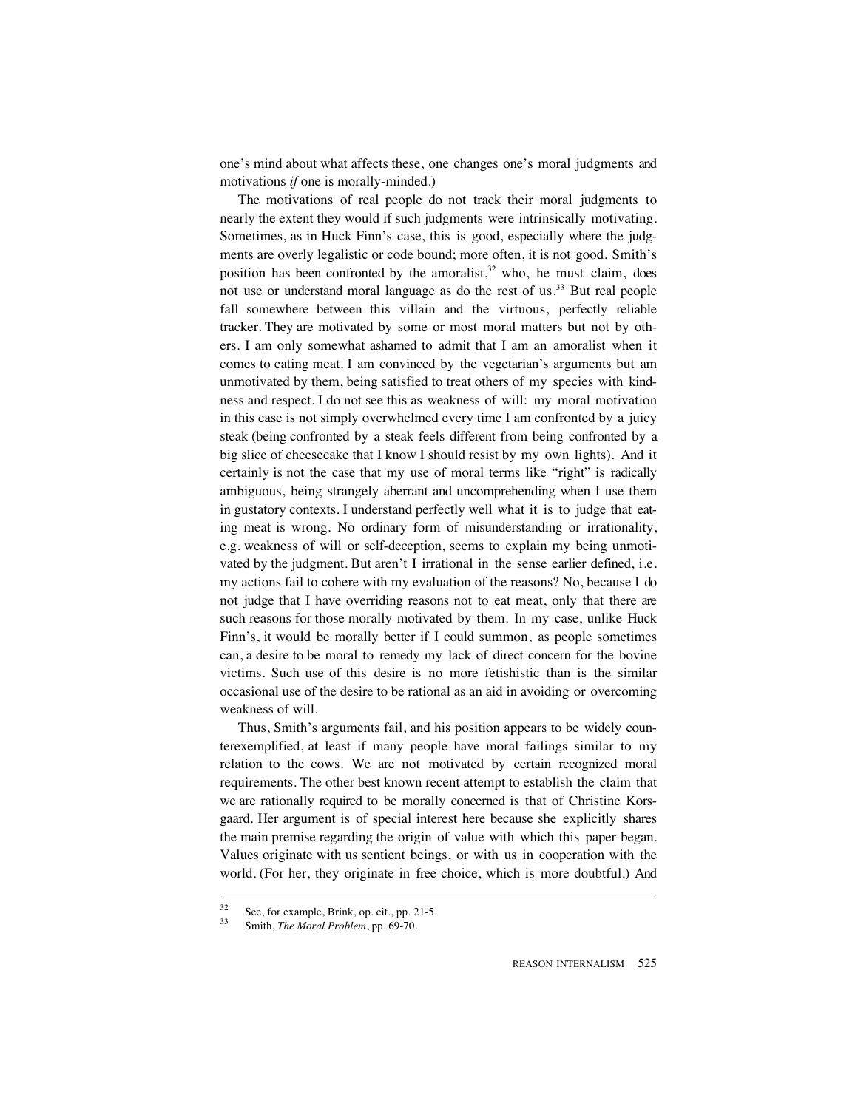one's mind about what affects these, one changes one's moral judgments and motivations *if* one is morally-minded.)

The motivations of real people do not track their moral judgments to nearly the extent they would if such judgments were intrinsically motivating. Sometimes, as in Huck Finn's case, this is good, especially where the judgments are overly legalistic or code bound; more often, it is not good. Smith's position has been confronted by the amoralist, $3^2$  who, he must claim, does not use or understand moral language as do the rest of us.<sup>33</sup> But real people fall somewhere between this villain and the virtuous, perfectly reliable tracker. They are motivated by some or most moral matters but not by others. I am only somewhat ashamed to admit that I am an amoralist when it comes to eating meat. I am convinced by the vegetarian's arguments but am unmotivated by them, being satisfied to treat others of my species with kindness and respect. I do not see this as weakness of will: my moral motivation in this case is not simply overwhelmed every time I am confronted by a juicy steak (being confronted by a steak feels different from being confronted by a big slice of cheesecake that I know I should resist by my own lights). And it certainly is not the case that my use of moral terms like "right" is radically ambiguous, being strangely aberrant and uncomprehending when I use them in gustatory contexts. I understand perfectly well what it is to judge that eating meat is wrong. No ordinary form of misunderstanding or irrationality, e.g. weakness of will or self-deception, seems to explain my being unmotivated by the judgment. But aren't I irrational in the sense earlier defined, i.e. my actions fail to cohere with my evaluation of the reasons? No, because I do not judge that I have overriding reasons not to eat meat, only that there are such reasons for those morally motivated by them. In my case, unlike Huck Finn's, it would be morally better if I could summon, as people sometimes can, a desire to be moral to remedy my lack of direct concern for the bovine victims. Such use of this desire is no more fetishistic than is the similar occasional use of the desire to be rational as an aid in avoiding or overcoming weakness of will.

Thus, Smith's arguments fail, and his position appears to be widely counterexemplified, at least if many people have moral failings similar to my relation to the cows. We are not motivated by certain recognized moral requirements. The other best known recent attempt to establish the claim that we are rationally required to be morally concerned is that of Christine Korsgaard. Her argument is of special interest here because she explicitly shares the main premise regarding the origin of value with which this paper began. Values originate with us sentient beings, or with us in cooperation with the world. (For her, they originate in free choice, which is more doubtful.) And

<sup>32</sup> <sup>32</sup> See, for example, Brink, op. cit., pp. 21-5. <sup>33</sup> Smith, *The Moral Problem*, pp. 69-70.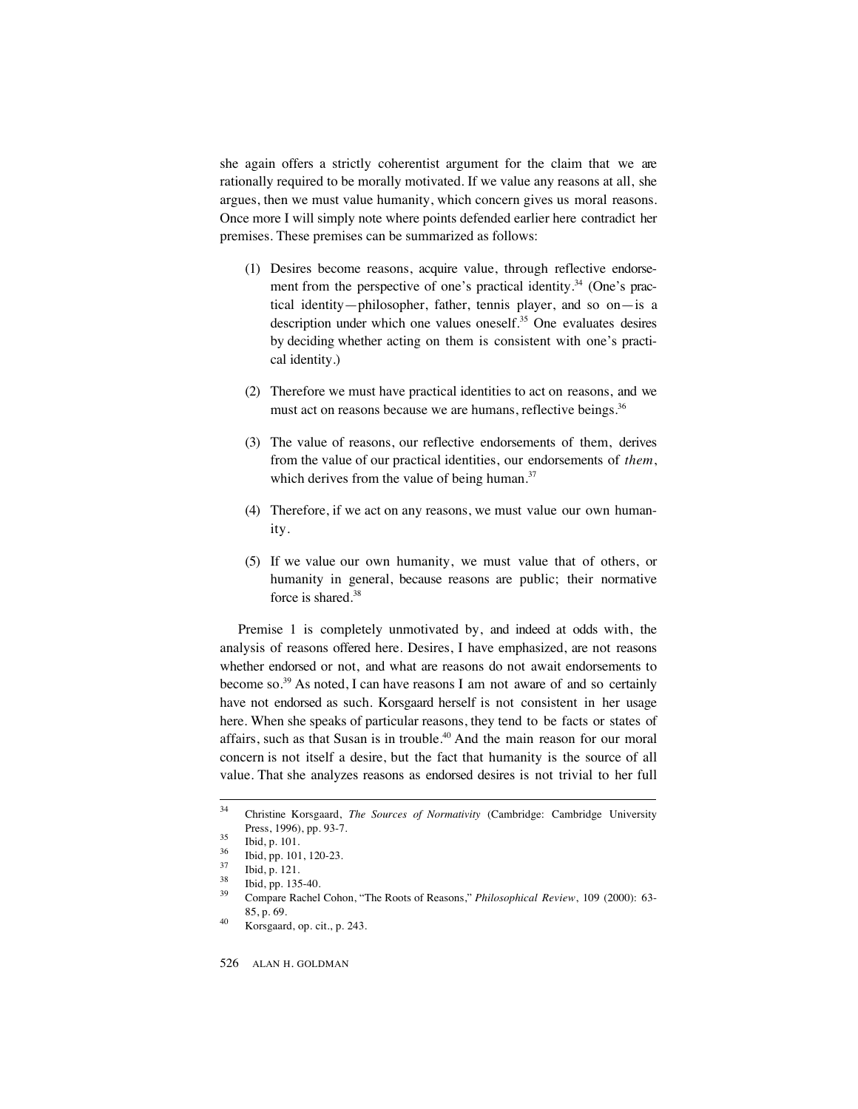she again offers a strictly coherentist argument for the claim that we are rationally required to be morally motivated. If we value any reasons at all, she argues, then we must value humanity, which concern gives us moral reasons. Once more I will simply note where points defended earlier here contradict her premises. These premises can be summarized as follows:

- (1) Desires become reasons, acquire value, through reflective endorsement from the perspective of one's practical identity.<sup>34</sup> (One's practical identity—philosopher, father, tennis player, and so on—is a description under which one values oneself.<sup>35</sup> One evaluates desires by deciding whether acting on them is consistent with one's practical identity.)
- (2) Therefore we must have practical identities to act on reasons, and we must act on reasons because we are humans, reflective beings.<sup>36</sup>
- (3) The value of reasons, our reflective endorsements of them, derives from the value of our practical identities, our endorsements of *them*, which derives from the value of being human. $37$
- (4) Therefore, if we act on any reasons, we must value our own humanity.
- (5) If we value our own humanity, we must value that of others, or humanity in general, because reasons are public; their normative force is shared  $38$

Premise 1 is completely unmotivated by, and indeed at odds with, the analysis of reasons offered here. Desires, I have emphasized, are not reasons whether endorsed or not, and what are reasons do not await endorsements to become so.39 As noted, I can have reasons I am not aware of and so certainly have not endorsed as such. Korsgaard herself is not consistent in her usage here. When she speaks of particular reasons, they tend to be facts or states of affairs, such as that Susan is in trouble.<sup>40</sup> And the main reason for our moral concern is not itself a desire, but the fact that humanity is the source of all value. That she analyzes reasons as endorsed desires is not trivial to her full

 $34$ <sup>34</sup> Christine Korsgaard, *The Sources of Normativity* (Cambridge: Cambridge University Press, 1996), pp. 93-7.<br>
35 Ibid, p. 101.<br>
36 Ibid, pp. 101, 120-23.<br>
37 Ibid, p. 121.<br>
38 Ibid, pp. 135-40.<br>
39 Compare Rachel Cohon, "The Roots of Reasons," *Philosophical Review*, 109 (2000): 63-

<sup>85,</sup> p. 69.<br>40 Korsgaard, op. cit., p. 243.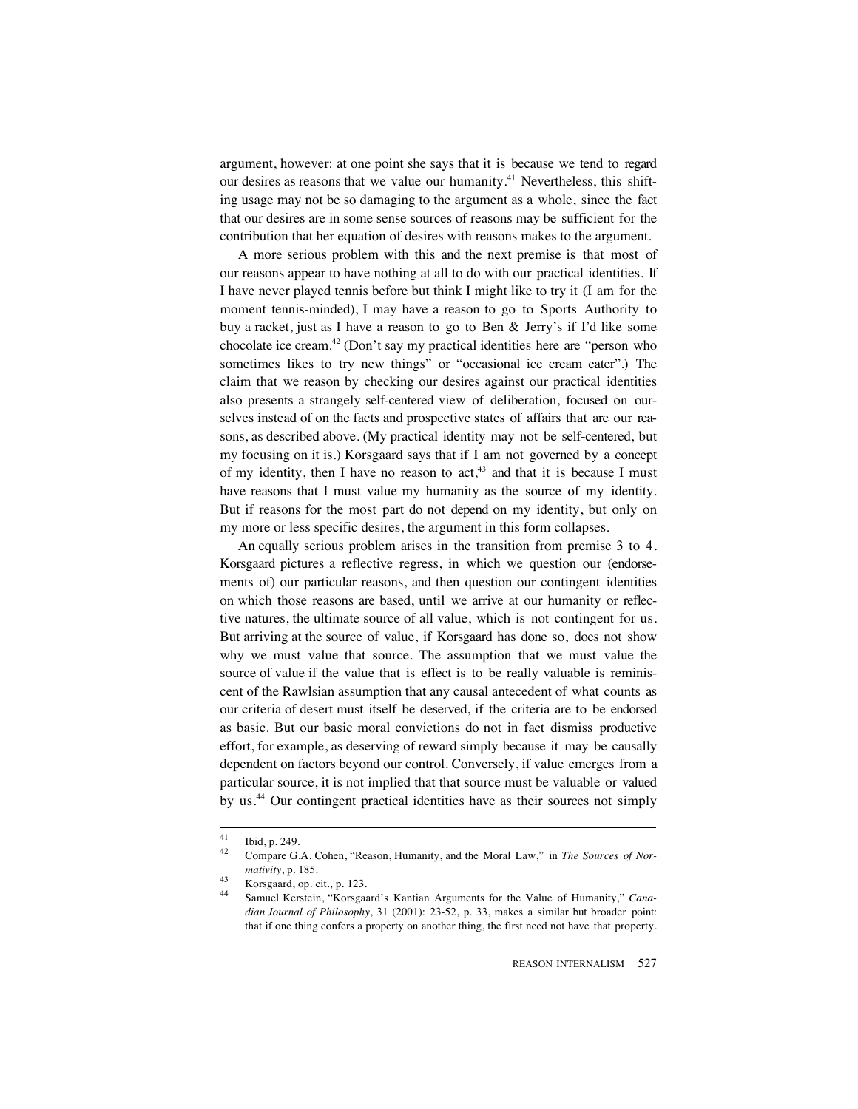argument, however: at one point she says that it is because we tend to regard our desires as reasons that we value our humanity.<sup>41</sup> Nevertheless, this shifting usage may not be so damaging to the argument as a whole, since the fact that our desires are in some sense sources of reasons may be sufficient for the contribution that her equation of desires with reasons makes to the argument.

A more serious problem with this and the next premise is that most of our reasons appear to have nothing at all to do with our practical identities. If I have never played tennis before but think I might like to try it (I am for the moment tennis-minded), I may have a reason to go to Sports Authority to buy a racket, just as I have a reason to go to Ben & Jerry's if I'd like some chocolate ice cream.42 (Don't say my practical identities here are "person who sometimes likes to try new things" or "occasional ice cream eater".) The claim that we reason by checking our desires against our practical identities also presents a strangely self-centered view of deliberation, focused on ourselves instead of on the facts and prospective states of affairs that are our reasons, as described above. (My practical identity may not be self-centered, but my focusing on it is.) Korsgaard says that if I am not governed by a concept of my identity, then I have no reason to act, $43$  and that it is because I must have reasons that I must value my humanity as the source of my identity. But if reasons for the most part do not depend on my identity, but only on my more or less specific desires, the argument in this form collapses.

An equally serious problem arises in the transition from premise 3 to 4. Korsgaard pictures a reflective regress, in which we question our (endorsements of) our particular reasons, and then question our contingent identities on which those reasons are based, until we arrive at our humanity or reflective natures, the ultimate source of all value, which is not contingent for us. But arriving at the source of value, if Korsgaard has done so, does not show why we must value that source. The assumption that we must value the source of value if the value that is effect is to be really valuable is reminiscent of the Rawlsian assumption that any causal antecedent of what counts as our criteria of desert must itself be deserved, if the criteria are to be endorsed as basic. But our basic moral convictions do not in fact dismiss productive effort, for example, as deserving of reward simply because it may be causally dependent on factors beyond our control. Conversely, if value emerges from a particular source, it is not implied that that source must be valuable or valued by us.44 Our contingent practical identities have as their sources not simply

 $41$ 

<sup>41</sup> Ibid, p. 249. <sup>42</sup> Compare G.A. Cohen, "Reason, Humanity, and the Moral Law," in *The Sources of Normativity*, p. 185.<br>
<sup>43</sup> Korsgaard, op. cit., p. 123.<br>
<sup>44</sup> Samuel Kerstein, "Korsgaard's Kantian Arguments for the Value of Humanity," *Cana-*

*dian Journal of Philosophy*, 31 (2001): 23-52, p. 33, makes a similar but broader point: that if one thing confers a property on another thing, the first need not have that property.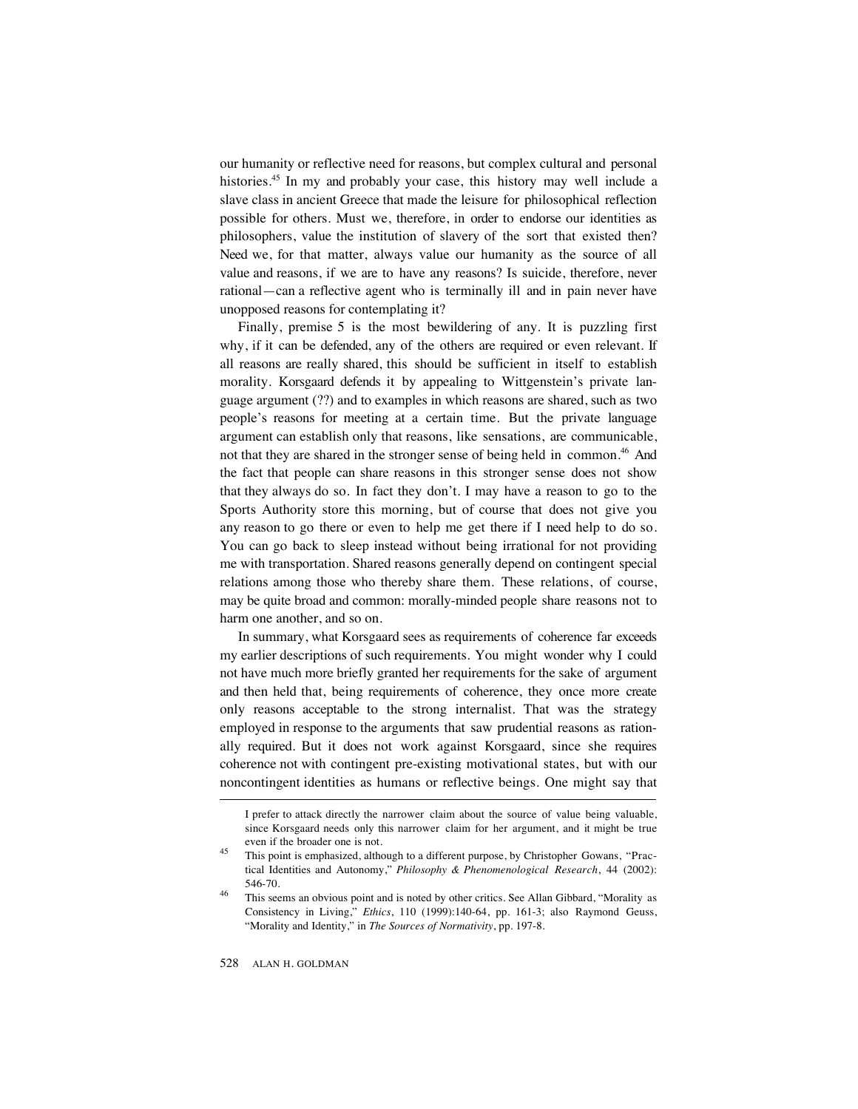our humanity or reflective need for reasons, but complex cultural and personal histories.<sup>45</sup> In my and probably your case, this history may well include a slave class in ancient Greece that made the leisure for philosophical reflection possible for others. Must we, therefore, in order to endorse our identities as philosophers, value the institution of slavery of the sort that existed then? Need we, for that matter, always value our humanity as the source of all value and reasons, if we are to have any reasons? Is suicide, therefore, never rational—can a reflective agent who is terminally ill and in pain never have unopposed reasons for contemplating it?

Finally, premise 5 is the most bewildering of any. It is puzzling first why, if it can be defended, any of the others are required or even relevant. If all reasons are really shared, this should be sufficient in itself to establish morality. Korsgaard defends it by appealing to Wittgenstein's private language argument (??) and to examples in which reasons are shared, such as two people's reasons for meeting at a certain time. But the private language argument can establish only that reasons, like sensations, are communicable, not that they are shared in the stronger sense of being held in common.<sup>46</sup> And the fact that people can share reasons in this stronger sense does not show that they always do so. In fact they don't. I may have a reason to go to the Sports Authority store this morning, but of course that does not give you any reason to go there or even to help me get there if I need help to do so. You can go back to sleep instead without being irrational for not providing me with transportation. Shared reasons generally depend on contingent special relations among those who thereby share them. These relations, of course, may be quite broad and common: morally-minded people share reasons not to harm one another, and so on.

In summary, what Korsgaard sees as requirements of coherence far exceeds my earlier descriptions of such requirements. You might wonder why I could not have much more briefly granted her requirements for the sake of argument and then held that, being requirements of coherence, they once more create only reasons acceptable to the strong internalist. That was the strategy employed in response to the arguments that saw prudential reasons as rationally required. But it does not work against Korsgaard, since she requires coherence not with contingent pre-existing motivational states, but with our noncontingent identities as humans or reflective beings. One might say that

-

I prefer to attack directly the narrower claim about the source of value being valuable, since Korsgaard needs only this narrower claim for her argument, and it might be true even if the broader one is not.<br>
<sup>45</sup> This point is emphasized, although to a different purpose, by Christopher Gowans, "Prac-

tical Identities and Autonomy," *Philosophy & Phenomenological Research*, 44 (2002): 546-70. <sup>46</sup> This seems an obvious point and is noted by other critics. See Allan Gibbard, "Morality as

Consistency in Living," *Ethics*, 110 (1999):140-64, pp. 161-3; also Raymond Geuss, "Morality and Identity," in *The Sources of Normativity*, pp. 197-8.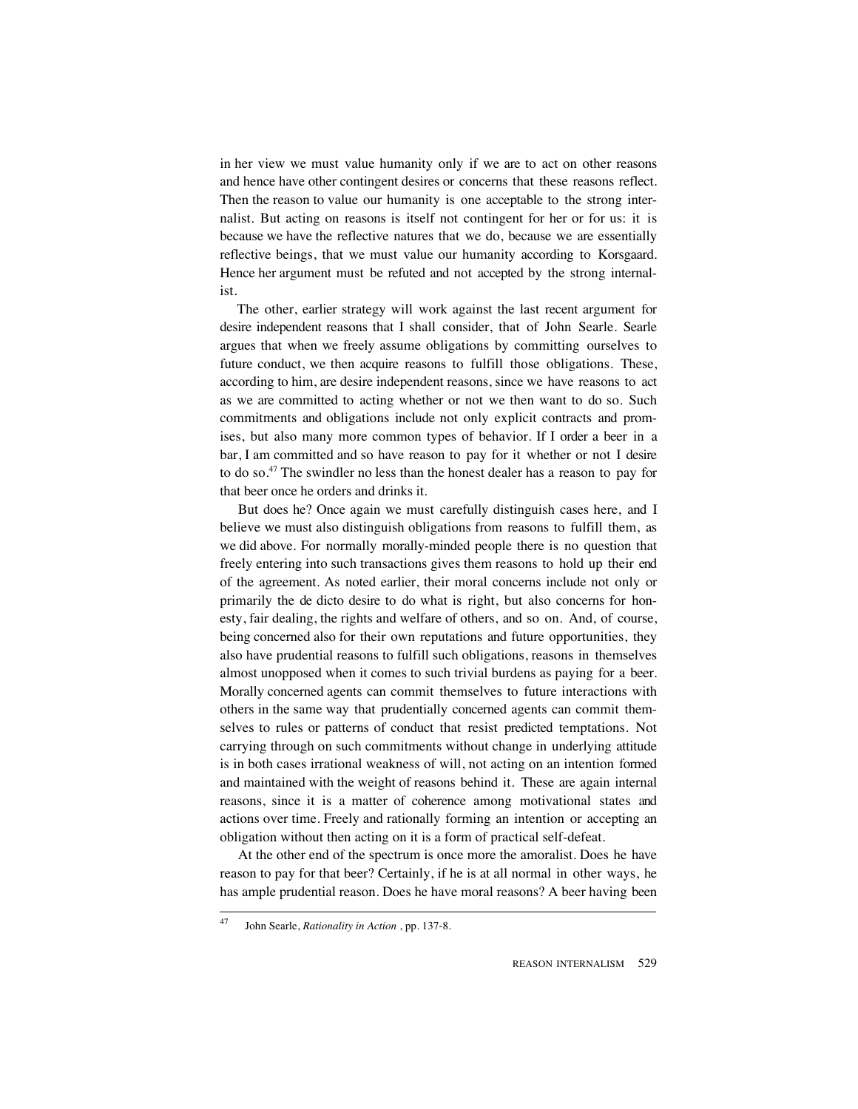in her view we must value humanity only if we are to act on other reasons and hence have other contingent desires or concerns that these reasons reflect. Then the reason to value our humanity is one acceptable to the strong internalist. But acting on reasons is itself not contingent for her or for us: it is because we have the reflective natures that we do, because we are essentially reflective beings, that we must value our humanity according to Korsgaard. Hence her argument must be refuted and not accepted by the strong internalist.

The other, earlier strategy will work against the last recent argument for desire independent reasons that I shall consider, that of John Searle. Searle argues that when we freely assume obligations by committing ourselves to future conduct, we then acquire reasons to fulfill those obligations. These, according to him, are desire independent reasons, since we have reasons to act as we are committed to acting whether or not we then want to do so. Such commitments and obligations include not only explicit contracts and promises, but also many more common types of behavior. If I order a beer in a bar, I am committed and so have reason to pay for it whether or not I desire to do so.47 The swindler no less than the honest dealer has a reason to pay for that beer once he orders and drinks it.

But does he? Once again we must carefully distinguish cases here, and I believe we must also distinguish obligations from reasons to fulfill them, as we did above. For normally morally-minded people there is no question that freely entering into such transactions gives them reasons to hold up their end of the agreement. As noted earlier, their moral concerns include not only or primarily the de dicto desire to do what is right, but also concerns for honesty, fair dealing, the rights and welfare of others, and so on. And, of course, being concerned also for their own reputations and future opportunities, they also have prudential reasons to fulfill such obligations, reasons in themselves almost unopposed when it comes to such trivial burdens as paying for a beer. Morally concerned agents can commit themselves to future interactions with others in the same way that prudentially concerned agents can commit themselves to rules or patterns of conduct that resist predicted temptations. Not carrying through on such commitments without change in underlying attitude is in both cases irrational weakness of will, not acting on an intention formed and maintained with the weight of reasons behind it. These are again internal reasons, since it is a matter of coherence among motivational states and actions over time. Freely and rationally forming an intention or accepting an obligation without then acting on it is a form of practical self-defeat.

At the other end of the spectrum is once more the amoralist. Does he have reason to pay for that beer? Certainly, if he is at all normal in other ways, he has ample prudential reason. Does he have moral reasons? A beer having been

<sup>47</sup> <sup>47</sup> John Searle, *Rationality in Action* , pp. 137-8.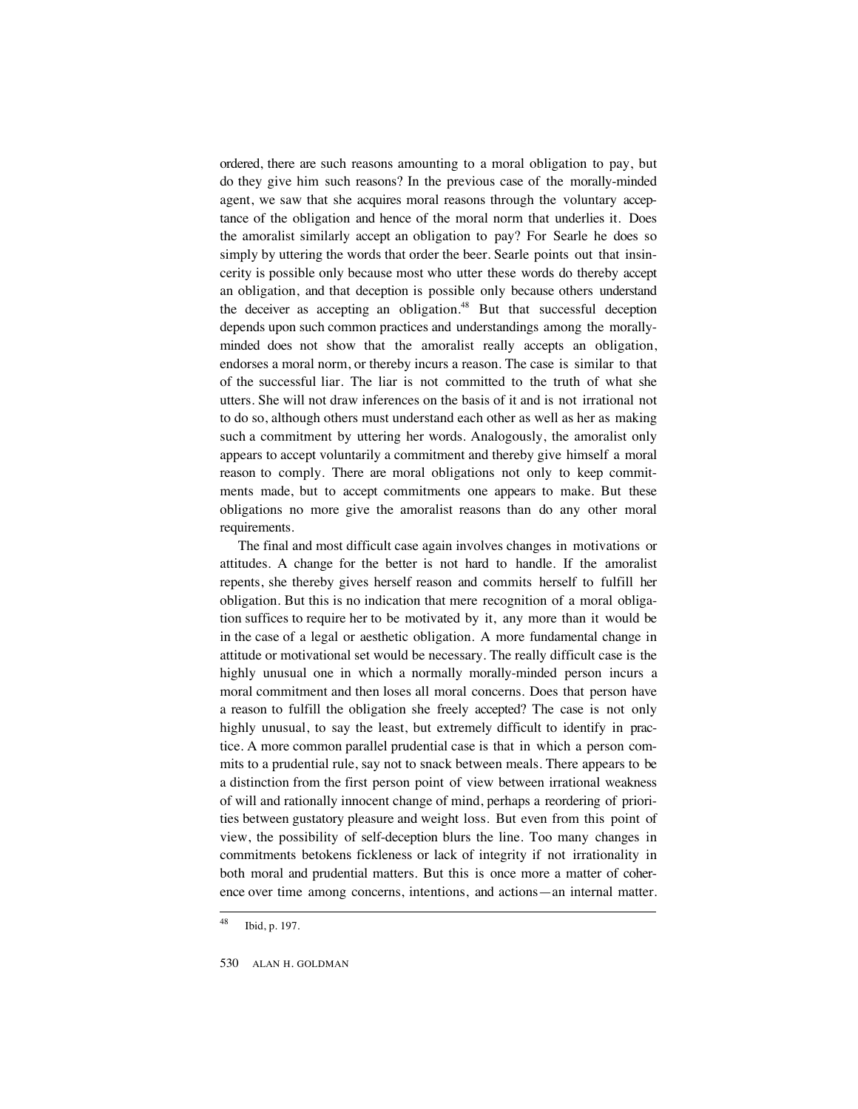ordered, there are such reasons amounting to a moral obligation to pay, but do they give him such reasons? In the previous case of the morally-minded agent, we saw that she acquires moral reasons through the voluntary acceptance of the obligation and hence of the moral norm that underlies it. Does the amoralist similarly accept an obligation to pay? For Searle he does so simply by uttering the words that order the beer. Searle points out that insincerity is possible only because most who utter these words do thereby accept an obligation, and that deception is possible only because others understand the deceiver as accepting an obligation. $48$  But that successful deception depends upon such common practices and understandings among the morallyminded does not show that the amoralist really accepts an obligation, endorses a moral norm, or thereby incurs a reason. The case is similar to that of the successful liar. The liar is not committed to the truth of what she utters. She will not draw inferences on the basis of it and is not irrational not to do so, although others must understand each other as well as her as making such a commitment by uttering her words. Analogously, the amoralist only appears to accept voluntarily a commitment and thereby give himself a moral reason to comply. There are moral obligations not only to keep commitments made, but to accept commitments one appears to make. But these obligations no more give the amoralist reasons than do any other moral requirements.

The final and most difficult case again involves changes in motivations or attitudes. A change for the better is not hard to handle. If the amoralist repents, she thereby gives herself reason and commits herself to fulfill her obligation. But this is no indication that mere recognition of a moral obligation suffices to require her to be motivated by it, any more than it would be in the case of a legal or aesthetic obligation. A more fundamental change in attitude or motivational set would be necessary. The really difficult case is the highly unusual one in which a normally morally-minded person incurs a moral commitment and then loses all moral concerns. Does that person have a reason to fulfill the obligation she freely accepted? The case is not only highly unusual, to say the least, but extremely difficult to identify in practice. A more common parallel prudential case is that in which a person commits to a prudential rule, say not to snack between meals. There appears to be a distinction from the first person point of view between irrational weakness of will and rationally innocent change of mind, perhaps a reordering of priorities between gustatory pleasure and weight loss. But even from this point of view, the possibility of self-deception blurs the line. Too many changes in commitments betokens fickleness or lack of integrity if not irrationality in both moral and prudential matters. But this is once more a matter of coherence over time among concerns, intentions, and actions—an internal matter.

<sup>48</sup> Ibid, p. 197.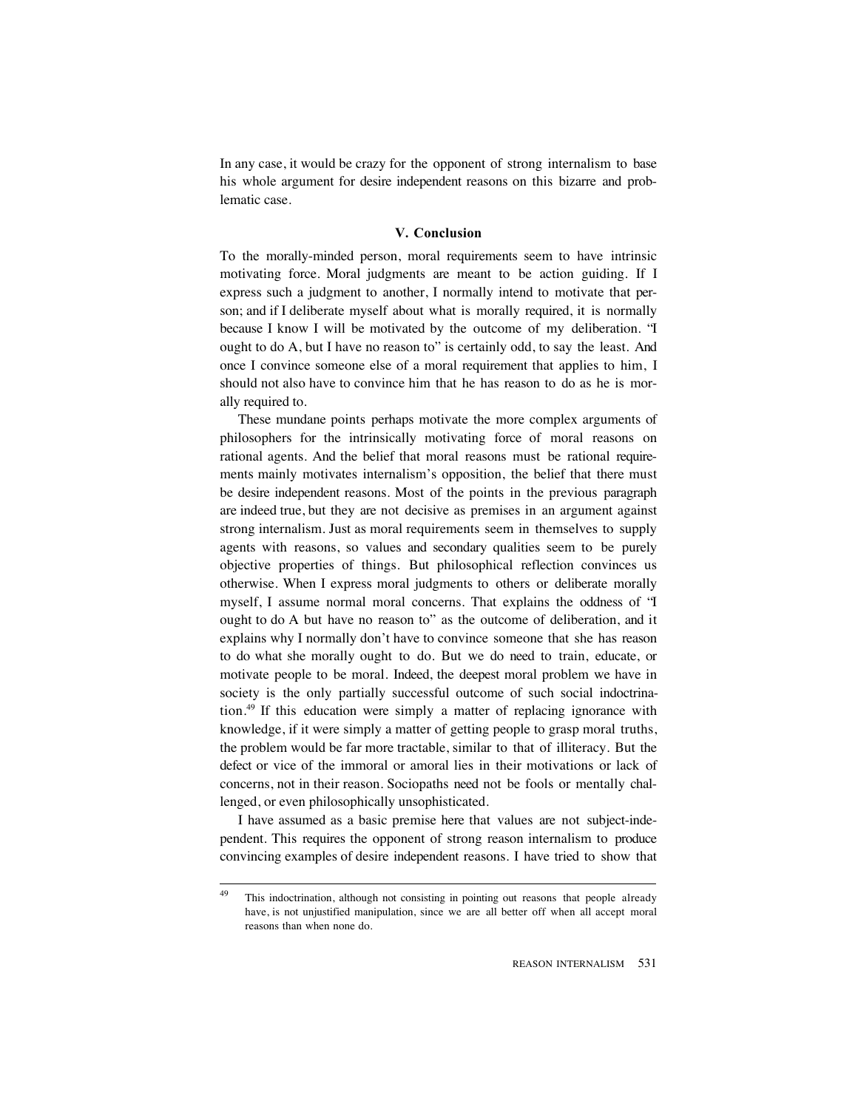In any case, it would be crazy for the opponent of strong internalism to base his whole argument for desire independent reasons on this bizarre and problematic case.

### **V. Conclusion**

To the morally-minded person, moral requirements seem to have intrinsic motivating force. Moral judgments are meant to be action guiding. If I express such a judgment to another, I normally intend to motivate that person; and if I deliberate myself about what is morally required, it is normally because I know I will be motivated by the outcome of my deliberation. "I ought to do A, but I have no reason to" is certainly odd, to say the least. And once I convince someone else of a moral requirement that applies to him, I should not also have to convince him that he has reason to do as he is morally required to.

These mundane points perhaps motivate the more complex arguments of philosophers for the intrinsically motivating force of moral reasons on rational agents. And the belief that moral reasons must be rational requirements mainly motivates internalism's opposition, the belief that there must be desire independent reasons. Most of the points in the previous paragraph are indeed true, but they are not decisive as premises in an argument against strong internalism. Just as moral requirements seem in themselves to supply agents with reasons, so values and secondary qualities seem to be purely objective properties of things. But philosophical reflection convinces us otherwise. When I express moral judgments to others or deliberate morally myself, I assume normal moral concerns. That explains the oddness of "I ought to do A but have no reason to" as the outcome of deliberation, and it explains why I normally don't have to convince someone that she has reason to do what she morally ought to do. But we do need to train, educate, or motivate people to be moral. Indeed, the deepest moral problem we have in society is the only partially successful outcome of such social indoctrination.49 If this education were simply a matter of replacing ignorance with knowledge, if it were simply a matter of getting people to grasp moral truths, the problem would be far more tractable, similar to that of illiteracy. But the defect or vice of the immoral or amoral lies in their motivations or lack of concerns, not in their reason. Sociopaths need not be fools or mentally challenged, or even philosophically unsophisticated.

I have assumed as a basic premise here that values are not subject-independent. This requires the opponent of strong reason internalism to produce convincing examples of desire independent reasons. I have tried to show that

<sup>49</sup> This indoctrination, although not consisting in pointing out reasons that people already have, is not unjustified manipulation, since we are all better off when all accept moral reasons than when none do.